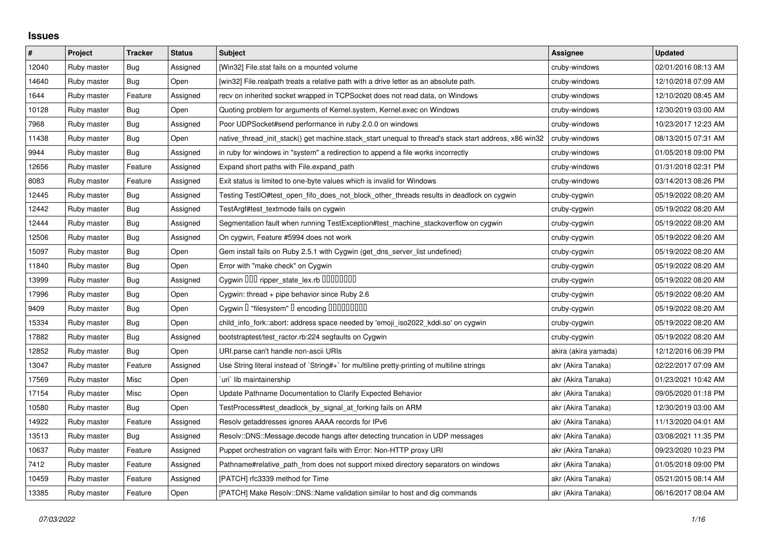## **Issues**

| $\#$  | Project     | <b>Tracker</b> | <b>Status</b> | <b>Subject</b>                                                                                        | Assignee             | <b>Updated</b>      |
|-------|-------------|----------------|---------------|-------------------------------------------------------------------------------------------------------|----------------------|---------------------|
| 12040 | Ruby master | Bug            | Assigned      | [Win32] File.stat fails on a mounted volume                                                           | cruby-windows        | 02/01/2016 08:13 AM |
| 14640 | Ruby master | <b>Bug</b>     | Open          | [win32] File.realpath treats a relative path with a drive letter as an absolute path.                 | cruby-windows        | 12/10/2018 07:09 AM |
| 1644  | Ruby master | Feature        | Assigned      | recv on inherited socket wrapped in TCPSocket does not read data, on Windows                          | cruby-windows        | 12/10/2020 08:45 AM |
| 10128 | Ruby master | <b>Bug</b>     | Open          | Quoting problem for arguments of Kernel.system, Kernel.exec on Windows                                | cruby-windows        | 12/30/2019 03:00 AM |
| 7968  | Ruby master | Bug            | Assigned      | Poor UDPSocket#send performance in ruby 2.0.0 on windows                                              | cruby-windows        | 10/23/2017 12:23 AM |
| 11438 | Ruby master | <b>Bug</b>     | Open          | native_thread_init_stack() get machine.stack_start unequal to thread's stack start address, x86 win32 | cruby-windows        | 08/13/2015 07:31 AM |
| 9944  | Ruby master | Bug            | Assigned      | in ruby for windows in "system" a redirection to append a file works incorrectly                      | cruby-windows        | 01/05/2018 09:00 PM |
| 12656 | Ruby master | Feature        | Assigned      | Expand short paths with File.expand path                                                              | cruby-windows        | 01/31/2018 02:31 PM |
| 8083  | Ruby master | Feature        | Assigned      | Exit status is limited to one-byte values which is invalid for Windows                                | cruby-windows        | 03/14/2013 08:26 PM |
| 12445 | Ruby master | <b>Bug</b>     | Assigned      | Testing TestIO#test_open_fifo_does_not_block_other_threads results in deadlock on cygwin              | cruby-cygwin         | 05/19/2022 08:20 AM |
| 12442 | Ruby master | Bug            | Assigned      | TestArgf#test textmode fails on cygwin                                                                | cruby-cygwin         | 05/19/2022 08:20 AM |
| 12444 | Ruby master | <b>Bug</b>     | Assigned      | Segmentation fault when running TestException#test_machine_stackoverflow on cygwin                    | cruby-cygwin         | 05/19/2022 08:20 AM |
| 12506 | Ruby master | Bug            | Assigned      | On cygwin, Feature #5994 does not work                                                                | cruby-cygwin         | 05/19/2022 08:20 AM |
| 15097 | Ruby master | Bug            | Open          | Gem install fails on Ruby 2.5.1 with Cygwin (get_dns_server_list undefined)                           | cruby-cygwin         | 05/19/2022 08:20 AM |
| 11840 | Ruby master | <b>Bug</b>     | Open          | Error with "make check" on Cygwin                                                                     | cruby-cygwin         | 05/19/2022 08:20 AM |
| 13999 | Ruby master | Bug            | Assigned      | Cygwin 000 ripper_state_lex.rb 0000000                                                                | cruby-cygwin         | 05/19/2022 08:20 AM |
| 17996 | Ruby master | Bug            | Open          | Cygwin: thread + pipe behavior since Ruby 2.6                                                         | cruby-cygwin         | 05/19/2022 08:20 AM |
| 9409  | Ruby master | <b>Bug</b>     | Open          | Cygwin I "filesystem" I encoding IIIIIIIIIIIII                                                        | cruby-cygwin         | 05/19/2022 08:20 AM |
| 15334 | Ruby master | Bug            | Open          | child_info_fork::abort: address space needed by 'emoji_iso2022_kddi.so' on cygwin                     | cruby-cygwin         | 05/19/2022 08:20 AM |
| 17882 | Ruby master | Bug            | Assigned      | bootstraptest/test_ractor.rb:224 segfaults on Cygwin                                                  | cruby-cygwin         | 05/19/2022 08:20 AM |
| 12852 | Ruby master | <b>Bug</b>     | Open          | URI.parse can't handle non-ascii URIs                                                                 | akira (akira yamada) | 12/12/2016 06:39 PM |
| 13047 | Ruby master | Feature        | Assigned      | Use String literal instead of `String#+` for multiline pretty-printing of multiline strings           | akr (Akira Tanaka)   | 02/22/2017 07:09 AM |
| 17569 | Ruby master | Misc           | Open          | uri`lib maintainership                                                                                | akr (Akira Tanaka)   | 01/23/2021 10:42 AM |
| 17154 | Ruby master | Misc           | Open          | Update Pathname Documentation to Clarify Expected Behavior                                            | akr (Akira Tanaka)   | 09/05/2020 01:18 PM |
| 10580 | Ruby master | Bug            | Open          | TestProcess#test_deadlock_by_signal_at_forking fails on ARM                                           | akr (Akira Tanaka)   | 12/30/2019 03:00 AM |
| 14922 | Ruby master | Feature        | Assigned      | Resolv getaddresses ignores AAAA records for IPv6                                                     | akr (Akira Tanaka)   | 11/13/2020 04:01 AM |
| 13513 | Ruby master | <b>Bug</b>     | Assigned      | Resolv::DNS::Message.decode hangs after detecting truncation in UDP messages                          | akr (Akira Tanaka)   | 03/08/2021 11:35 PM |
| 10637 | Ruby master | Feature        | Assigned      | Puppet orchestration on vagrant fails with Error: Non-HTTP proxy URI                                  | akr (Akira Tanaka)   | 09/23/2020 10:23 PM |
| 7412  | Ruby master | Feature        | Assigned      | Pathname#relative_path_from does not support mixed directory separators on windows                    | akr (Akira Tanaka)   | 01/05/2018 09:00 PM |
| 10459 | Ruby master | Feature        | Assigned      | [PATCH] rfc3339 method for Time                                                                       | akr (Akira Tanaka)   | 05/21/2015 08:14 AM |
| 13385 | Ruby master | Feature        | Open          | [PATCH] Make Resolv::DNS::Name validation similar to host and dig commands                            | akr (Akira Tanaka)   | 06/16/2017 08:04 AM |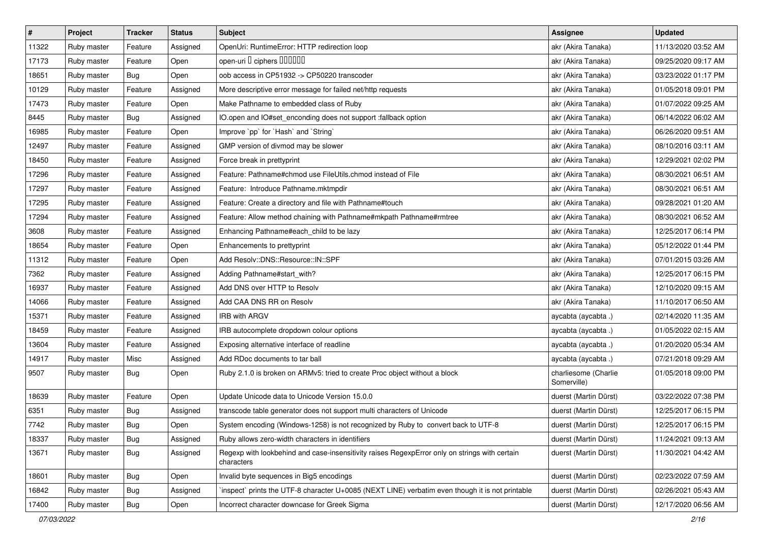| $\pmb{\#}$ | Project     | <b>Tracker</b> | <b>Status</b> | <b>Subject</b>                                                                                              | <b>Assignee</b>                     | <b>Updated</b>      |
|------------|-------------|----------------|---------------|-------------------------------------------------------------------------------------------------------------|-------------------------------------|---------------------|
| 11322      | Ruby master | Feature        | Assigned      | OpenUri: RuntimeError: HTTP redirection loop                                                                | akr (Akira Tanaka)                  | 11/13/2020 03:52 AM |
| 17173      | Ruby master | Feature        | Open          | open-uri I ciphers IIIIIII                                                                                  | akr (Akira Tanaka)                  | 09/25/2020 09:17 AM |
| 18651      | Ruby master | Bug            | Open          | oob access in CP51932 -> CP50220 transcoder                                                                 | akr (Akira Tanaka)                  | 03/23/2022 01:17 PM |
| 10129      | Ruby master | Feature        | Assigned      | More descriptive error message for failed net/http requests                                                 | akr (Akira Tanaka)                  | 01/05/2018 09:01 PM |
| 17473      | Ruby master | Feature        | Open          | Make Pathname to embedded class of Ruby                                                                     | akr (Akira Tanaka)                  | 01/07/2022 09:25 AM |
| 8445       | Ruby master | Bug            | Assigned      | IO.open and IO#set_enconding does not support :fallback option                                              | akr (Akira Tanaka)                  | 06/14/2022 06:02 AM |
| 16985      | Ruby master | Feature        | Open          | Improve `pp` for `Hash` and `String`                                                                        | akr (Akira Tanaka)                  | 06/26/2020 09:51 AM |
| 12497      | Ruby master | Feature        | Assigned      | GMP version of divmod may be slower                                                                         | akr (Akira Tanaka)                  | 08/10/2016 03:11 AM |
| 18450      | Ruby master | Feature        | Assigned      | Force break in prettyprint                                                                                  | akr (Akira Tanaka)                  | 12/29/2021 02:02 PM |
| 17296      | Ruby master | Feature        | Assigned      | Feature: Pathname#chmod use FileUtils.chmod instead of File                                                 | akr (Akira Tanaka)                  | 08/30/2021 06:51 AM |
| 17297      | Ruby master | Feature        | Assigned      | Feature: Introduce Pathname.mktmpdir                                                                        | akr (Akira Tanaka)                  | 08/30/2021 06:51 AM |
| 17295      | Ruby master | Feature        | Assigned      | Feature: Create a directory and file with Pathname#touch                                                    | akr (Akira Tanaka)                  | 09/28/2021 01:20 AM |
| 17294      | Ruby master | Feature        | Assigned      | Feature: Allow method chaining with Pathname#mkpath Pathname#rmtree                                         | akr (Akira Tanaka)                  | 08/30/2021 06:52 AM |
| 3608       | Ruby master | Feature        | Assigned      | Enhancing Pathname#each_child to be lazy                                                                    | akr (Akira Tanaka)                  | 12/25/2017 06:14 PM |
| 18654      | Ruby master | Feature        | Open          | Enhancements to prettyprint                                                                                 | akr (Akira Tanaka)                  | 05/12/2022 01:44 PM |
| 11312      | Ruby master | Feature        | Open          | Add Resolv::DNS::Resource::IN::SPF                                                                          | akr (Akira Tanaka)                  | 07/01/2015 03:26 AM |
| 7362       | Ruby master | Feature        | Assigned      | Adding Pathname#start_with?                                                                                 | akr (Akira Tanaka)                  | 12/25/2017 06:15 PM |
| 16937      | Ruby master | Feature        | Assigned      | Add DNS over HTTP to Resolv                                                                                 | akr (Akira Tanaka)                  | 12/10/2020 09:15 AM |
| 14066      | Ruby master | Feature        | Assigned      | Add CAA DNS RR on Resolv                                                                                    | akr (Akira Tanaka)                  | 11/10/2017 06:50 AM |
| 15371      | Ruby master | Feature        | Assigned      | <b>IRB with ARGV</b>                                                                                        | aycabta (aycabta.)                  | 02/14/2020 11:35 AM |
| 18459      | Ruby master | Feature        | Assigned      | IRB autocomplete dropdown colour options                                                                    | aycabta (aycabta .)                 | 01/05/2022 02:15 AM |
| 13604      | Ruby master | Feature        | Assigned      | Exposing alternative interface of readline                                                                  | aycabta (aycabta.)                  | 01/20/2020 05:34 AM |
| 14917      | Ruby master | Misc           | Assigned      | Add RDoc documents to tar ball                                                                              | aycabta (aycabta.)                  | 07/21/2018 09:29 AM |
| 9507       | Ruby master | Bug            | Open          | Ruby 2.1.0 is broken on ARMv5: tried to create Proc object without a block                                  | charliesome (Charlie<br>Somerville) | 01/05/2018 09:00 PM |
| 18639      | Ruby master | Feature        | Open          | Update Unicode data to Unicode Version 15.0.0                                                               | duerst (Martin Dürst)               | 03/22/2022 07:38 PM |
| 6351       | Ruby master | <b>Bug</b>     | Assigned      | transcode table generator does not support multi characters of Unicode                                      | duerst (Martin Dürst)               | 12/25/2017 06:15 PM |
| 7742       | Ruby master | <b>Bug</b>     | Open          | System encoding (Windows-1258) is not recognized by Ruby to convert back to UTF-8                           | duerst (Martin Dürst)               | 12/25/2017 06:15 PM |
| 18337      | Ruby master | <b>Bug</b>     | Assigned      | Ruby allows zero-width characters in identifiers                                                            | duerst (Martin Dürst)               | 11/24/2021 09:13 AM |
| 13671      | Ruby master | <b>Bug</b>     | Assigned      | Regexp with lookbehind and case-insensitivity raises RegexpError only on strings with certain<br>characters | duerst (Martin Dürst)               | 11/30/2021 04:42 AM |
| 18601      | Ruby master | Bug            | Open          | Invalid byte sequences in Big5 encodings                                                                    | duerst (Martin Dürst)               | 02/23/2022 07:59 AM |
| 16842      | Ruby master | Bug            | Assigned      | inspect` prints the UTF-8 character U+0085 (NEXT LINE) verbatim even though it is not printable             | duerst (Martin Dürst)               | 02/26/2021 05:43 AM |
| 17400      | Ruby master | Bug            | Open          | Incorrect character downcase for Greek Sigma                                                                | duerst (Martin Dürst)               | 12/17/2020 06:56 AM |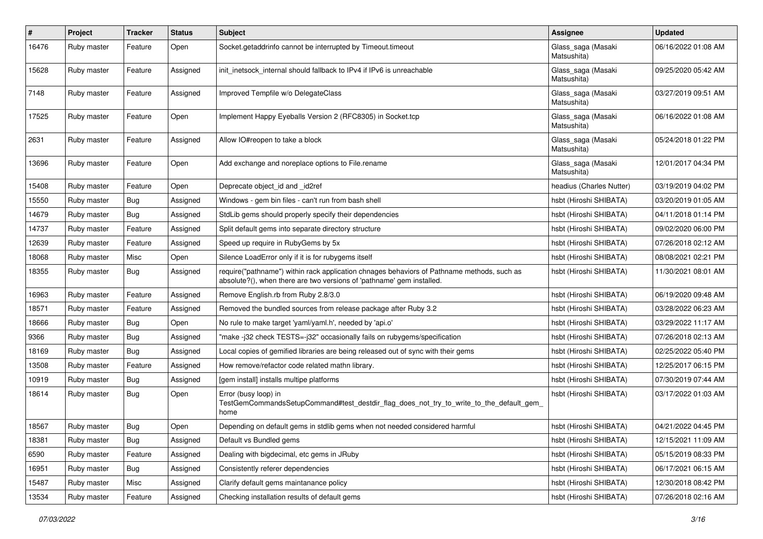| $\pmb{\#}$ | Project     | <b>Tracker</b> | <b>Status</b> | <b>Subject</b>                                                                                                                                                      | Assignee                          | <b>Updated</b>      |
|------------|-------------|----------------|---------------|---------------------------------------------------------------------------------------------------------------------------------------------------------------------|-----------------------------------|---------------------|
| 16476      | Ruby master | Feature        | Open          | Socket.getaddrinfo cannot be interrupted by Timeout.timeout                                                                                                         | Glass_saga (Masaki<br>Matsushita) | 06/16/2022 01:08 AM |
| 15628      | Ruby master | Feature        | Assigned      | init inetsock internal should fallback to IPv4 if IPv6 is unreachable                                                                                               | Glass_saga (Masaki<br>Matsushita) | 09/25/2020 05:42 AM |
| 7148       | Ruby master | Feature        | Assigned      | Improved Tempfile w/o DelegateClass                                                                                                                                 | Glass_saga (Masaki<br>Matsushita) | 03/27/2019 09:51 AM |
| 17525      | Ruby master | Feature        | Open          | Implement Happy Eyeballs Version 2 (RFC8305) in Socket.tcp                                                                                                          | Glass_saga (Masaki<br>Matsushita) | 06/16/2022 01:08 AM |
| 2631       | Ruby master | Feature        | Assigned      | Allow IO#reopen to take a block                                                                                                                                     | Glass_saga (Masaki<br>Matsushita) | 05/24/2018 01:22 PM |
| 13696      | Ruby master | Feature        | Open          | Add exchange and noreplace options to File.rename                                                                                                                   | Glass_saga (Masaki<br>Matsushita) | 12/01/2017 04:34 PM |
| 15408      | Ruby master | Feature        | Open          | Deprecate object_id and _id2ref                                                                                                                                     | headius (Charles Nutter)          | 03/19/2019 04:02 PM |
| 15550      | Ruby master | Bug            | Assigned      | Windows - gem bin files - can't run from bash shell                                                                                                                 | hsbt (Hiroshi SHIBATA)            | 03/20/2019 01:05 AM |
| 14679      | Ruby master | <b>Bug</b>     | Assigned      | StdLib gems should properly specify their dependencies                                                                                                              | hsbt (Hiroshi SHIBATA)            | 04/11/2018 01:14 PM |
| 14737      | Ruby master | Feature        | Assigned      | Split default gems into separate directory structure                                                                                                                | hsbt (Hiroshi SHIBATA)            | 09/02/2020 06:00 PM |
| 12639      | Ruby master | Feature        | Assigned      | Speed up require in RubyGems by 5x                                                                                                                                  | hsbt (Hiroshi SHIBATA)            | 07/26/2018 02:12 AM |
| 18068      | Ruby master | Misc           | Open          | Silence LoadError only if it is for rubygems itself                                                                                                                 | hsbt (Hiroshi SHIBATA)            | 08/08/2021 02:21 PM |
| 18355      | Ruby master | <b>Bug</b>     | Assigned      | require("pathname") within rack application chnages behaviors of Pathname methods, such as<br>absolute?(), when there are two versions of 'pathname' gem installed. | hsbt (Hiroshi SHIBATA)            | 11/30/2021 08:01 AM |
| 16963      | Ruby master | Feature        | Assigned      | Remove English.rb from Ruby 2.8/3.0                                                                                                                                 | hsbt (Hiroshi SHIBATA)            | 06/19/2020 09:48 AM |
| 18571      | Ruby master | Feature        | Assigned      | Removed the bundled sources from release package after Ruby 3.2                                                                                                     | hsbt (Hiroshi SHIBATA)            | 03/28/2022 06:23 AM |
| 18666      | Ruby master | Bug            | Open          | No rule to make target 'yaml/yaml.h', needed by 'api.o'                                                                                                             | hsbt (Hiroshi SHIBATA)            | 03/29/2022 11:17 AM |
| 9366       | Ruby master | <b>Bug</b>     | Assigned      | 'make -j32 check TESTS=-j32" occasionally fails on rubygems/specification                                                                                           | hsbt (Hiroshi SHIBATA)            | 07/26/2018 02:13 AM |
| 18169      | Ruby master | <b>Bug</b>     | Assigned      | Local copies of gemified libraries are being released out of sync with their gems                                                                                   | hsbt (Hiroshi SHIBATA)            | 02/25/2022 05:40 PM |
| 13508      | Ruby master | Feature        | Assigned      | How remove/refactor code related mathn library.                                                                                                                     | hsbt (Hiroshi SHIBATA)            | 12/25/2017 06:15 PM |
| 10919      | Ruby master | <b>Bug</b>     | Assigned      | [gem install] installs multipe platforms                                                                                                                            | hsbt (Hiroshi SHIBATA)            | 07/30/2019 07:44 AM |
| 18614      | Ruby master | Bug            | Open          | Error (busy loop) in<br>TestGemCommandsSetupCommand#test_destdir_flag_does_not_try_to_write_to_the_default_gem_<br>home                                             | hsbt (Hiroshi SHIBATA)            | 03/17/2022 01:03 AM |
| 18567      | Ruby master | Bug            | Open          | Depending on default gems in stdlib gems when not needed considered harmful                                                                                         | hsbt (Hiroshi SHIBATA)            | 04/21/2022 04:45 PM |
| 18381      | Ruby master | <b>Bug</b>     | Assigned      | Default vs Bundled gems                                                                                                                                             | hsbt (Hiroshi SHIBATA)            | 12/15/2021 11:09 AM |
| 6590       | Ruby master | Feature        | Assigned      | Dealing with bigdecimal, etc gems in JRuby                                                                                                                          | hsbt (Hiroshi SHIBATA)            | 05/15/2019 08:33 PM |
| 16951      | Ruby master | <b>Bug</b>     | Assigned      | Consistently referer dependencies                                                                                                                                   | hsbt (Hiroshi SHIBATA)            | 06/17/2021 06:15 AM |
| 15487      | Ruby master | Misc           | Assigned      | Clarify default gems maintanance policy                                                                                                                             | hsbt (Hiroshi SHIBATA)            | 12/30/2018 08:42 PM |
| 13534      | Ruby master | Feature        | Assigned      | Checking installation results of default gems                                                                                                                       | hsbt (Hiroshi SHIBATA)            | 07/26/2018 02:16 AM |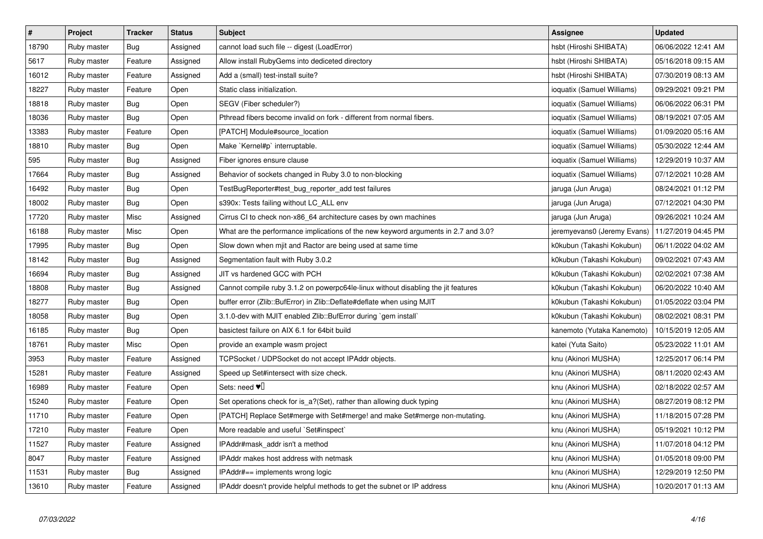| $\sharp$ | Project     | <b>Tracker</b> | <b>Status</b> | <b>Subject</b>                                                                     | <b>Assignee</b>             | <b>Updated</b>      |
|----------|-------------|----------------|---------------|------------------------------------------------------------------------------------|-----------------------------|---------------------|
| 18790    | Ruby master | <b>Bug</b>     | Assigned      | cannot load such file -- digest (LoadError)                                        | hsbt (Hiroshi SHIBATA)      | 06/06/2022 12:41 AM |
| 5617     | Ruby master | Feature        | Assigned      | Allow install RubyGems into dediceted directory                                    | hsbt (Hiroshi SHIBATA)      | 05/16/2018 09:15 AM |
| 16012    | Ruby master | Feature        | Assigned      | Add a (small) test-install suite?                                                  | hsbt (Hiroshi SHIBATA)      | 07/30/2019 08:13 AM |
| 18227    | Ruby master | Feature        | Open          | Static class initialization.                                                       | ioquatix (Samuel Williams)  | 09/29/2021 09:21 PM |
| 18818    | Ruby master | <b>Bug</b>     | Open          | SEGV (Fiber scheduler?)                                                            | ioquatix (Samuel Williams)  | 06/06/2022 06:31 PM |
| 18036    | Ruby master | <b>Bug</b>     | Open          | Pthread fibers become invalid on fork - different from normal fibers.              | ioquatix (Samuel Williams)  | 08/19/2021 07:05 AM |
| 13383    | Ruby master | Feature        | Open          | [PATCH] Module#source location                                                     | ioquatix (Samuel Williams)  | 01/09/2020 05:16 AM |
| 18810    | Ruby master | <b>Bug</b>     | Open          | Make `Kernel#p` interruptable.                                                     | ioquatix (Samuel Williams)  | 05/30/2022 12:44 AM |
| 595      | Ruby master | Bug            | Assigned      | Fiber ignores ensure clause                                                        | ioquatix (Samuel Williams)  | 12/29/2019 10:37 AM |
| 17664    | Ruby master | Bug            | Assigned      | Behavior of sockets changed in Ruby 3.0 to non-blocking                            | ioquatix (Samuel Williams)  | 07/12/2021 10:28 AM |
| 16492    | Ruby master | <b>Bug</b>     | Open          | TestBugReporter#test_bug_reporter_add test failures                                | jaruga (Jun Aruga)          | 08/24/2021 01:12 PM |
| 18002    | Ruby master | <b>Bug</b>     | Open          | s390x: Tests failing without LC ALL env                                            | jaruga (Jun Aruga)          | 07/12/2021 04:30 PM |
| 17720    | Ruby master | Misc           | Assigned      | Cirrus CI to check non-x86_64 architecture cases by own machines                   | jaruga (Jun Aruga)          | 09/26/2021 10:24 AM |
| 16188    | Ruby master | Misc           | Open          | What are the performance implications of the new keyword arguments in 2.7 and 3.0? | jeremyevans0 (Jeremy Evans) | 11/27/2019 04:45 PM |
| 17995    | Ruby master | <b>Bug</b>     | Open          | Slow down when mjit and Ractor are being used at same time                         | k0kubun (Takashi Kokubun)   | 06/11/2022 04:02 AM |
| 18142    | Ruby master | Bug            | Assigned      | Segmentation fault with Ruby 3.0.2                                                 | k0kubun (Takashi Kokubun)   | 09/02/2021 07:43 AM |
| 16694    | Ruby master | <b>Bug</b>     | Assigned      | JIT vs hardened GCC with PCH                                                       | k0kubun (Takashi Kokubun)   | 02/02/2021 07:38 AM |
| 18808    | Ruby master | Bug            | Assigned      | Cannot compile ruby 3.1.2 on powerpc64le-linux without disabling the jit features  | k0kubun (Takashi Kokubun)   | 06/20/2022 10:40 AM |
| 18277    | Ruby master | <b>Bug</b>     | Open          | buffer error (Zlib::BufError) in Zlib::Deflate#deflate when using MJIT             | k0kubun (Takashi Kokubun)   | 01/05/2022 03:04 PM |
| 18058    | Ruby master | <b>Bug</b>     | Open          | 3.1.0-dev with MJIT enabled Zlib::BufError during `gem install                     | k0kubun (Takashi Kokubun)   | 08/02/2021 08:31 PM |
| 16185    | Ruby master | <b>Bug</b>     | Open          | basictest failure on AIX 6.1 for 64bit build                                       | kanemoto (Yutaka Kanemoto)  | 10/15/2019 12:05 AM |
| 18761    | Ruby master | Misc           | Open          | provide an example wasm project                                                    | katei (Yuta Saito)          | 05/23/2022 11:01 AM |
| 3953     | Ruby master | Feature        | Assigned      | TCPSocket / UDPSocket do not accept IPAddr objects.                                | knu (Akinori MUSHA)         | 12/25/2017 06:14 PM |
| 15281    | Ruby master | Feature        | Assigned      | Speed up Set#intersect with size check.                                            | knu (Akinori MUSHA)         | 08/11/2020 02:43 AM |
| 16989    | Ruby master | Feature        | Open          | Sets: need $\Psi$                                                                  | knu (Akinori MUSHA)         | 02/18/2022 02:57 AM |
| 15240    | Ruby master | Feature        | Open          | Set operations check for is_a?(Set), rather than allowing duck typing              | knu (Akinori MUSHA)         | 08/27/2019 08:12 PM |
| 11710    | Ruby master | Feature        | Open          | [PATCH] Replace Set#merge with Set#merge! and make Set#merge non-mutating.         | knu (Akinori MUSHA)         | 11/18/2015 07:28 PM |
| 17210    | Ruby master | Feature        | Open          | More readable and useful `Set#inspect`                                             | knu (Akinori MUSHA)         | 05/19/2021 10:12 PM |
| 11527    | Ruby master | Feature        | Assigned      | IPAddr#mask_addr isn't a method                                                    | knu (Akinori MUSHA)         | 11/07/2018 04:12 PM |
| 8047     | Ruby master | Feature        | Assigned      | IPAddr makes host address with netmask                                             | knu (Akinori MUSHA)         | 01/05/2018 09:00 PM |
| 11531    | Ruby master | Bug            | Assigned      | IPAddr#== implements wrong logic                                                   | knu (Akinori MUSHA)         | 12/29/2019 12:50 PM |
| 13610    | Ruby master | Feature        | Assigned      | IPAddr doesn't provide helpful methods to get the subnet or IP address             | knu (Akinori MUSHA)         | 10/20/2017 01:13 AM |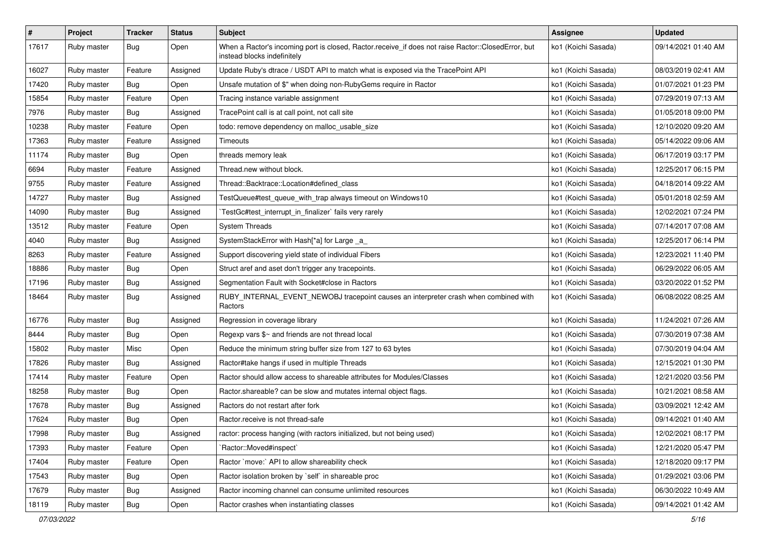| $\sharp$ | Project     | <b>Tracker</b> | <b>Status</b> | Subject                                                                                                                           | Assignee            | <b>Updated</b>      |
|----------|-------------|----------------|---------------|-----------------------------------------------------------------------------------------------------------------------------------|---------------------|---------------------|
| 17617    | Ruby master | <b>Bug</b>     | Open          | When a Ractor's incoming port is closed, Ractor.receive_if does not raise Ractor::ClosedError, but<br>instead blocks indefinitely | ko1 (Koichi Sasada) | 09/14/2021 01:40 AM |
| 16027    | Ruby master | Feature        | Assigned      | Update Ruby's dtrace / USDT API to match what is exposed via the TracePoint API                                                   | ko1 (Koichi Sasada) | 08/03/2019 02:41 AM |
| 17420    | Ruby master | <b>Bug</b>     | Open          | Unsafe mutation of \$" when doing non-RubyGems require in Ractor                                                                  | ko1 (Koichi Sasada) | 01/07/2021 01:23 PM |
| 15854    | Ruby master | Feature        | Open          | Tracing instance variable assignment                                                                                              | ko1 (Koichi Sasada) | 07/29/2019 07:13 AM |
| 7976     | Ruby master | Bug            | Assigned      | TracePoint call is at call point, not call site                                                                                   | ko1 (Koichi Sasada) | 01/05/2018 09:00 PM |
| 10238    | Ruby master | Feature        | Open          | todo: remove dependency on malloc_usable_size                                                                                     | ko1 (Koichi Sasada) | 12/10/2020 09:20 AM |
| 17363    | Ruby master | Feature        | Assigned      | Timeouts                                                                                                                          | ko1 (Koichi Sasada) | 05/14/2022 09:06 AM |
| 11174    | Ruby master | Bug            | Open          | threads memory leak                                                                                                               | ko1 (Koichi Sasada) | 06/17/2019 03:17 PM |
| 6694     | Ruby master | Feature        | Assigned      | Thread.new without block.                                                                                                         | ko1 (Koichi Sasada) | 12/25/2017 06:15 PM |
| 9755     | Ruby master | Feature        | Assigned      | Thread::Backtrace::Location#defined class                                                                                         | ko1 (Koichi Sasada) | 04/18/2014 09:22 AM |
| 14727    | Ruby master | <b>Bug</b>     | Assigned      | TestQueue#test_queue_with_trap always timeout on Windows10                                                                        | ko1 (Koichi Sasada) | 05/01/2018 02:59 AM |
| 14090    | Ruby master | <b>Bug</b>     | Assigned      | TestGc#test_interrupt_in_finalizer` fails very rarely                                                                             | ko1 (Koichi Sasada) | 12/02/2021 07:24 PM |
| 13512    | Ruby master | Feature        | Open          | <b>System Threads</b>                                                                                                             | ko1 (Koichi Sasada) | 07/14/2017 07:08 AM |
| 4040     | Ruby master | Bug            | Assigned      | SystemStackError with Hash[*a] for Large _a_                                                                                      | ko1 (Koichi Sasada) | 12/25/2017 06:14 PM |
| 8263     | Ruby master | Feature        | Assigned      | Support discovering yield state of individual Fibers                                                                              | ko1 (Koichi Sasada) | 12/23/2021 11:40 PM |
| 18886    | Ruby master | Bug            | Open          | Struct aref and aset don't trigger any tracepoints.                                                                               | ko1 (Koichi Sasada) | 06/29/2022 06:05 AM |
| 17196    | Ruby master | Bug            | Assigned      | Segmentation Fault with Socket#close in Ractors                                                                                   | ko1 (Koichi Sasada) | 03/20/2022 01:52 PM |
| 18464    | Ruby master | <b>Bug</b>     | Assigned      | RUBY_INTERNAL_EVENT_NEWOBJ tracepoint causes an interpreter crash when combined with<br>Ractors                                   | ko1 (Koichi Sasada) | 06/08/2022 08:25 AM |
| 16776    | Ruby master | <b>Bug</b>     | Assigned      | Regression in coverage library                                                                                                    | ko1 (Koichi Sasada) | 11/24/2021 07:26 AM |
| 8444     | Ruby master | <b>Bug</b>     | Open          | Regexp vars \$~ and friends are not thread local                                                                                  | ko1 (Koichi Sasada) | 07/30/2019 07:38 AM |
| 15802    | Ruby master | Misc           | Open          | Reduce the minimum string buffer size from 127 to 63 bytes                                                                        | ko1 (Koichi Sasada) | 07/30/2019 04:04 AM |
| 17826    | Ruby master | Bug            | Assigned      | Ractor#take hangs if used in multiple Threads                                                                                     | ko1 (Koichi Sasada) | 12/15/2021 01:30 PM |
| 17414    | Ruby master | Feature        | Open          | Ractor should allow access to shareable attributes for Modules/Classes                                                            | ko1 (Koichi Sasada) | 12/21/2020 03:56 PM |
| 18258    | Ruby master | <b>Bug</b>     | Open          | Ractor shareable? can be slow and mutates internal object flags.                                                                  | ko1 (Koichi Sasada) | 10/21/2021 08:58 AM |
| 17678    | Ruby master | <b>Bug</b>     | Assigned      | Ractors do not restart after fork                                                                                                 | ko1 (Koichi Sasada) | 03/09/2021 12:42 AM |
| 17624    | Ruby master | <b>Bug</b>     | Open          | Ractor.receive is not thread-safe                                                                                                 | ko1 (Koichi Sasada) | 09/14/2021 01:40 AM |
| 17998    | Ruby master | Bug            | Assigned      | ractor: process hanging (with ractors initialized, but not being used)                                                            | ko1 (Koichi Sasada) | 12/02/2021 08:17 PM |
| 17393    | Ruby master | Feature        | Open          | 'Ractor::Moved#inspect'                                                                                                           | ko1 (Koichi Sasada) | 12/21/2020 05:47 PM |
| 17404    | Ruby master | Feature        | Open          | Ractor `move:` API to allow shareability check                                                                                    | ko1 (Koichi Sasada) | 12/18/2020 09:17 PM |
| 17543    | Ruby master | Bug            | Open          | Ractor isolation broken by `self` in shareable proc                                                                               | ko1 (Koichi Sasada) | 01/29/2021 03:06 PM |
| 17679    | Ruby master | Bug            | Assigned      | Ractor incoming channel can consume unlimited resources                                                                           | ko1 (Koichi Sasada) | 06/30/2022 10:49 AM |
| 18119    | Ruby master | Bug            | Open          | Ractor crashes when instantiating classes                                                                                         | ko1 (Koichi Sasada) | 09/14/2021 01:42 AM |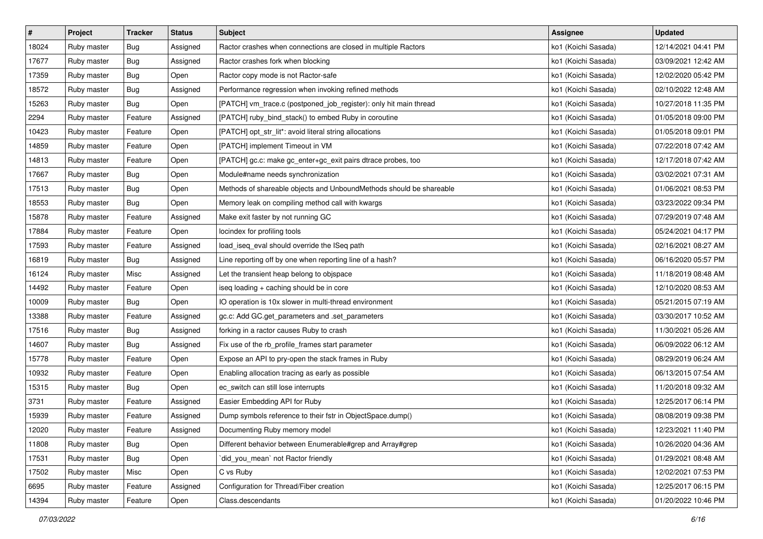| $\sharp$ | Project     | <b>Tracker</b> | <b>Status</b> | Subject                                                             | <b>Assignee</b>     | <b>Updated</b>      |
|----------|-------------|----------------|---------------|---------------------------------------------------------------------|---------------------|---------------------|
| 18024    | Ruby master | <b>Bug</b>     | Assigned      | Ractor crashes when connections are closed in multiple Ractors      | ko1 (Koichi Sasada) | 12/14/2021 04:41 PM |
| 17677    | Ruby master | Bug            | Assigned      | Ractor crashes fork when blocking                                   | ko1 (Koichi Sasada) | 03/09/2021 12:42 AM |
| 17359    | Ruby master | <b>Bug</b>     | Open          | Ractor copy mode is not Ractor-safe                                 | ko1 (Koichi Sasada) | 12/02/2020 05:42 PM |
| 18572    | Ruby master | <b>Bug</b>     | Assigned      | Performance regression when invoking refined methods                | ko1 (Koichi Sasada) | 02/10/2022 12:48 AM |
| 15263    | Ruby master | Bug            | Open          | [PATCH] vm_trace.c (postponed_job_register): only hit main thread   | ko1 (Koichi Sasada) | 10/27/2018 11:35 PM |
| 2294     | Ruby master | Feature        | Assigned      | [PATCH] ruby_bind_stack() to embed Ruby in coroutine                | ko1 (Koichi Sasada) | 01/05/2018 09:00 PM |
| 10423    | Ruby master | Feature        | Open          | [PATCH] opt_str_lit*: avoid literal string allocations              | ko1 (Koichi Sasada) | 01/05/2018 09:01 PM |
| 14859    | Ruby master | Feature        | Open          | [PATCH] implement Timeout in VM                                     | ko1 (Koichi Sasada) | 07/22/2018 07:42 AM |
| 14813    | Ruby master | Feature        | Open          | [PATCH] gc.c: make gc_enter+gc_exit pairs dtrace probes, too        | ko1 (Koichi Sasada) | 12/17/2018 07:42 AM |
| 17667    | Ruby master | <b>Bug</b>     | Open          | Module#name needs synchronization                                   | ko1 (Koichi Sasada) | 03/02/2021 07:31 AM |
| 17513    | Ruby master | <b>Bug</b>     | Open          | Methods of shareable objects and UnboundMethods should be shareable | ko1 (Koichi Sasada) | 01/06/2021 08:53 PM |
| 18553    | Ruby master | <b>Bug</b>     | Open          | Memory leak on compiling method call with kwargs                    | ko1 (Koichi Sasada) | 03/23/2022 09:34 PM |
| 15878    | Ruby master | Feature        | Assigned      | Make exit faster by not running GC                                  | ko1 (Koichi Sasada) | 07/29/2019 07:48 AM |
| 17884    | Ruby master | Feature        | Open          | locindex for profiling tools                                        | ko1 (Koichi Sasada) | 05/24/2021 04:17 PM |
| 17593    | Ruby master | Feature        | Assigned      | load_iseq_eval should override the ISeq path                        | ko1 (Koichi Sasada) | 02/16/2021 08:27 AM |
| 16819    | Ruby master | <b>Bug</b>     | Assigned      | Line reporting off by one when reporting line of a hash?            | ko1 (Koichi Sasada) | 06/16/2020 05:57 PM |
| 16124    | Ruby master | Misc           | Assigned      | Let the transient heap belong to objspace                           | ko1 (Koichi Sasada) | 11/18/2019 08:48 AM |
| 14492    | Ruby master | Feature        | Open          | iseq loading + caching should be in core                            | ko1 (Koichi Sasada) | 12/10/2020 08:53 AM |
| 10009    | Ruby master | <b>Bug</b>     | Open          | IO operation is 10x slower in multi-thread environment              | ko1 (Koichi Sasada) | 05/21/2015 07:19 AM |
| 13388    | Ruby master | Feature        | Assigned      | gc.c: Add GC.get_parameters and .set_parameters                     | ko1 (Koichi Sasada) | 03/30/2017 10:52 AM |
| 17516    | Ruby master | <b>Bug</b>     | Assigned      | forking in a ractor causes Ruby to crash                            | ko1 (Koichi Sasada) | 11/30/2021 05:26 AM |
| 14607    | Ruby master | <b>Bug</b>     | Assigned      | Fix use of the rb_profile_frames start parameter                    | ko1 (Koichi Sasada) | 06/09/2022 06:12 AM |
| 15778    | Ruby master | Feature        | Open          | Expose an API to pry-open the stack frames in Ruby                  | ko1 (Koichi Sasada) | 08/29/2019 06:24 AM |
| 10932    | Ruby master | Feature        | Open          | Enabling allocation tracing as early as possible                    | ko1 (Koichi Sasada) | 06/13/2015 07:54 AM |
| 15315    | Ruby master | <b>Bug</b>     | Open          | ec_switch can still lose interrupts                                 | ko1 (Koichi Sasada) | 11/20/2018 09:32 AM |
| 3731     | Ruby master | Feature        | Assigned      | Easier Embedding API for Ruby                                       | ko1 (Koichi Sasada) | 12/25/2017 06:14 PM |
| 15939    | Ruby master | Feature        | Assigned      | Dump symbols reference to their fstr in ObjectSpace.dump()          | ko1 (Koichi Sasada) | 08/08/2019 09:38 PM |
| 12020    | Ruby master | Feature        | Assigned      | Documenting Ruby memory model                                       | ko1 (Koichi Sasada) | 12/23/2021 11:40 PM |
| 11808    | Ruby master | Bug            | Open          | Different behavior between Enumerable#grep and Array#grep           | ko1 (Koichi Sasada) | 10/26/2020 04:36 AM |
| 17531    | Ruby master | Bug            | Open          | did_you_mean` not Ractor friendly                                   | ko1 (Koichi Sasada) | 01/29/2021 08:48 AM |
| 17502    | Ruby master | Misc           | Open          | C vs Ruby                                                           | ko1 (Koichi Sasada) | 12/02/2021 07:53 PM |
| 6695     | Ruby master | Feature        | Assigned      | Configuration for Thread/Fiber creation                             | ko1 (Koichi Sasada) | 12/25/2017 06:15 PM |
| 14394    | Ruby master | Feature        | Open          | Class.descendants                                                   | ko1 (Koichi Sasada) | 01/20/2022 10:46 PM |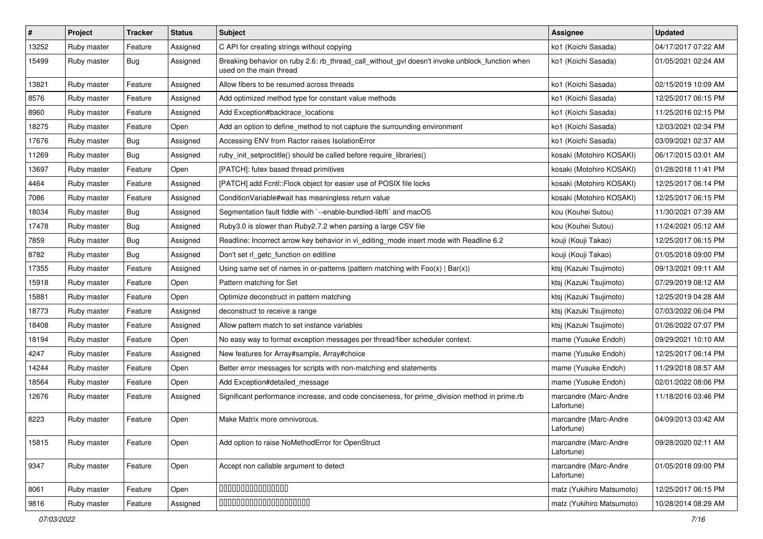| #     | Project     | <b>Tracker</b> | <b>Status</b> | Subject                                                                                                                   | <b>Assignee</b>                     | <b>Updated</b>      |
|-------|-------------|----------------|---------------|---------------------------------------------------------------------------------------------------------------------------|-------------------------------------|---------------------|
| 13252 | Ruby master | Feature        | Assigned      | C API for creating strings without copying                                                                                | ko1 (Koichi Sasada)                 | 04/17/2017 07:22 AM |
| 15499 | Ruby master | <b>Bug</b>     | Assigned      | Breaking behavior on ruby 2.6: rb_thread_call_without_gvl doesn't invoke unblock_function when<br>used on the main thread | ko1 (Koichi Sasada)                 | 01/05/2021 02:24 AM |
| 13821 | Ruby master | Feature        | Assigned      | Allow fibers to be resumed across threads                                                                                 | ko1 (Koichi Sasada)                 | 02/15/2019 10:09 AM |
| 8576  | Ruby master | Feature        | Assigned      | Add optimized method type for constant value methods                                                                      | ko1 (Koichi Sasada)                 | 12/25/2017 06:15 PM |
| 8960  | Ruby master | Feature        | Assigned      | Add Exception#backtrace locations                                                                                         | ko1 (Koichi Sasada)                 | 11/25/2016 02:15 PM |
| 18275 | Ruby master | Feature        | Open          | Add an option to define_method to not capture the surrounding environment                                                 | ko1 (Koichi Sasada)                 | 12/03/2021 02:34 PM |
| 17676 | Ruby master | Bug            | Assigned      | Accessing ENV from Ractor raises IsolationError                                                                           | ko1 (Koichi Sasada)                 | 03/09/2021 02:37 AM |
| 11269 | Ruby master | <b>Bug</b>     | Assigned      | ruby init setproctitle() should be called before require libraries()                                                      | kosaki (Motohiro KOSAKI)            | 06/17/2015 03:01 AM |
| 13697 | Ruby master | Feature        | Open          | [PATCH]: futex based thread primitives                                                                                    | kosaki (Motohiro KOSAKI)            | 01/28/2018 11:41 PM |
| 4464  | Ruby master | Feature        | Assigned      | [PATCH] add Fcntl:: Flock object for easier use of POSIX file locks                                                       | kosaki (Motohiro KOSAKI)            | 12/25/2017 06:14 PM |
| 7086  | Ruby master | Feature        | Assigned      | Condition Variable#wait has meaningless return value                                                                      | kosaki (Motohiro KOSAKI)            | 12/25/2017 06:15 PM |
| 18034 | Ruby master | <b>Bug</b>     | Assigned      | Segmentation fault fiddle with `--enable-bundled-libffi` and macOS                                                        | kou (Kouhei Sutou)                  | 11/30/2021 07:39 AM |
| 17478 | Ruby master | <b>Bug</b>     | Assigned      | Ruby3.0 is slower than Ruby2.7.2 when parsing a large CSV file                                                            | kou (Kouhei Sutou)                  | 11/24/2021 05:12 AM |
| 7859  | Ruby master | <b>Bug</b>     | Assigned      | Readline: Incorrect arrow key behavior in vi_editing_mode insert mode with Readline 6.2                                   | kouji (Kouji Takao)                 | 12/25/2017 06:15 PM |
| 8782  | Ruby master | <b>Bug</b>     | Assigned      | Don't set rl_getc_function on editline                                                                                    | kouji (Kouji Takao)                 | 01/05/2018 09:00 PM |
| 17355 | Ruby master | Feature        | Assigned      | Using same set of names in or-patterns (pattern matching with $Foo(x)   Bar(x)$ )                                         | ktsj (Kazuki Tsujimoto)             | 09/13/2021 09:11 AM |
| 15918 | Ruby master | Feature        | Open          | Pattern matching for Set                                                                                                  | ktsj (Kazuki Tsujimoto)             | 07/29/2019 08:12 AM |
| 15881 | Ruby master | Feature        | Open          | Optimize deconstruct in pattern matching                                                                                  | ktsj (Kazuki Tsujimoto)             | 12/25/2019 04:28 AM |
| 18773 | Ruby master | Feature        | Assigned      | deconstruct to receive a range                                                                                            | ktsj (Kazuki Tsujimoto)             | 07/03/2022 06:04 PM |
| 18408 | Ruby master | Feature        | Assigned      | Allow pattern match to set instance variables                                                                             | ktsj (Kazuki Tsujimoto)             | 01/26/2022 07:07 PM |
| 18194 | Ruby master | Feature        | Open          | No easy way to format exception messages per thread/fiber scheduler context.                                              | mame (Yusuke Endoh)                 | 09/29/2021 10:10 AM |
| 4247  | Ruby master | Feature        | Assigned      | New features for Array#sample, Array#choice                                                                               | mame (Yusuke Endoh)                 | 12/25/2017 06:14 PM |
| 14244 | Ruby master | Feature        | Open          | Better error messages for scripts with non-matching end statements                                                        | mame (Yusuke Endoh)                 | 11/29/2018 08:57 AM |
| 18564 | Ruby master | Feature        | Open          | Add Exception#detailed_message                                                                                            | mame (Yusuke Endoh)                 | 02/01/2022 08:06 PM |
| 12676 | Ruby master | Feature        | Assigned      | Significant performance increase, and code conciseness, for prime_division method in prime.rb                             | marcandre (Marc-Andre<br>Lafortune) | 11/18/2016 03:46 PM |
| 8223  | Ruby master | Feature        | Open          | Make Matrix more omnivorous.                                                                                              | marcandre (Marc-Andre<br>Lafortune) | 04/09/2013 03:42 AM |
| 15815 | Ruby master | Feature        | Open          | Add option to raise NoMethodError for OpenStruct                                                                          | marcandre (Marc-Andre<br>Lafortune) | 09/28/2020 02:11 AM |
| 9347  | Ruby master | Feature        | Open          | Accept non callable argument to detect                                                                                    | marcandre (Marc-Andre<br>Lafortune) | 01/05/2018 09:00 PM |
| 8061  | Ruby master | Feature        | Open          | 00000000000000                                                                                                            | matz (Yukihiro Matsumoto)           | 12/25/2017 06:15 PM |
| 9816  | Ruby master | Feature        | Assigned      | 00000000000000000000                                                                                                      | matz (Yukihiro Matsumoto)           | 10/28/2014 08:29 AM |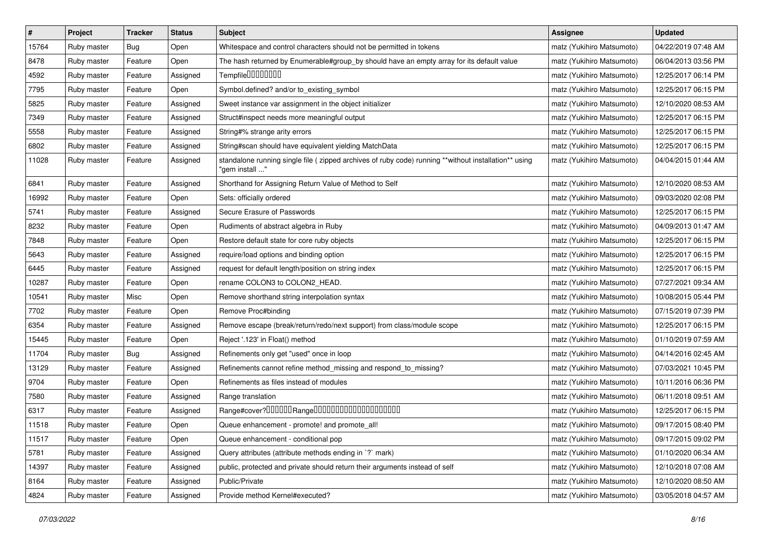| $\pmb{\#}$ | Project     | <b>Tracker</b> | <b>Status</b> | <b>Subject</b>                                                                                                         | <b>Assignee</b>           | <b>Updated</b>      |
|------------|-------------|----------------|---------------|------------------------------------------------------------------------------------------------------------------------|---------------------------|---------------------|
| 15764      | Ruby master | <b>Bug</b>     | Open          | Whitespace and control characters should not be permitted in tokens                                                    | matz (Yukihiro Matsumoto) | 04/22/2019 07:48 AM |
| 8478       | Ruby master | Feature        | Open          | The hash returned by Enumerable#group_by should have an empty array for its default value                              | matz (Yukihiro Matsumoto) | 06/04/2013 03:56 PM |
| 4592       | Ruby master | Feature        | Assigned      | Tempfile0000000                                                                                                        | matz (Yukihiro Matsumoto) | 12/25/2017 06:14 PM |
| 7795       | Ruby master | Feature        | Open          | Symbol.defined? and/or to_existing_symbol                                                                              | matz (Yukihiro Matsumoto) | 12/25/2017 06:15 PM |
| 5825       | Ruby master | Feature        | Assigned      | Sweet instance var assignment in the object initializer                                                                | matz (Yukihiro Matsumoto) | 12/10/2020 08:53 AM |
| 7349       | Ruby master | Feature        | Assigned      | Struct#inspect needs more meaningful output                                                                            | matz (Yukihiro Matsumoto) | 12/25/2017 06:15 PM |
| 5558       | Ruby master | Feature        | Assigned      | String#% strange arity errors                                                                                          | matz (Yukihiro Matsumoto) | 12/25/2017 06:15 PM |
| 6802       | Ruby master | Feature        | Assigned      | String#scan should have equivalent yielding MatchData                                                                  | matz (Yukihiro Matsumoto) | 12/25/2017 06:15 PM |
| 11028      | Ruby master | Feature        | Assigned      | standalone running single file (zipped archives of ruby code) running **without installation** using<br>"gem install " | matz (Yukihiro Matsumoto) | 04/04/2015 01:44 AM |
| 6841       | Ruby master | Feature        | Assigned      | Shorthand for Assigning Return Value of Method to Self                                                                 | matz (Yukihiro Matsumoto) | 12/10/2020 08:53 AM |
| 16992      | Ruby master | Feature        | Open          | Sets: officially ordered                                                                                               | matz (Yukihiro Matsumoto) | 09/03/2020 02:08 PM |
| 5741       | Ruby master | Feature        | Assigned      | Secure Erasure of Passwords                                                                                            | matz (Yukihiro Matsumoto) | 12/25/2017 06:15 PM |
| 8232       | Ruby master | Feature        | Open          | Rudiments of abstract algebra in Ruby                                                                                  | matz (Yukihiro Matsumoto) | 04/09/2013 01:47 AM |
| 7848       | Ruby master | Feature        | Open          | Restore default state for core ruby objects                                                                            | matz (Yukihiro Matsumoto) | 12/25/2017 06:15 PM |
| 5643       | Ruby master | Feature        | Assigned      | require/load options and binding option                                                                                | matz (Yukihiro Matsumoto) | 12/25/2017 06:15 PM |
| 6445       | Ruby master | Feature        | Assigned      | request for default length/position on string index                                                                    | matz (Yukihiro Matsumoto) | 12/25/2017 06:15 PM |
| 10287      | Ruby master | Feature        | Open          | rename COLON3 to COLON2_HEAD.                                                                                          | matz (Yukihiro Matsumoto) | 07/27/2021 09:34 AM |
| 10541      | Ruby master | Misc           | Open          | Remove shorthand string interpolation syntax                                                                           | matz (Yukihiro Matsumoto) | 10/08/2015 05:44 PM |
| 7702       | Ruby master | Feature        | Open          | Remove Proc#binding                                                                                                    | matz (Yukihiro Matsumoto) | 07/15/2019 07:39 PM |
| 6354       | Ruby master | Feature        | Assigned      | Remove escape (break/return/redo/next support) from class/module scope                                                 | matz (Yukihiro Matsumoto) | 12/25/2017 06:15 PM |
| 15445      | Ruby master | Feature        | Open          | Reject '.123' in Float() method                                                                                        | matz (Yukihiro Matsumoto) | 01/10/2019 07:59 AM |
| 11704      | Ruby master | Bug            | Assigned      | Refinements only get "used" once in loop                                                                               | matz (Yukihiro Matsumoto) | 04/14/2016 02:45 AM |
| 13129      | Ruby master | Feature        | Assigned      | Refinements cannot refine method_missing and respond_to_missing?                                                       | matz (Yukihiro Matsumoto) | 07/03/2021 10:45 PM |
| 9704       | Ruby master | Feature        | Open          | Refinements as files instead of modules                                                                                | matz (Yukihiro Matsumoto) | 10/11/2016 06:36 PM |
| 7580       | Ruby master | Feature        | Assigned      | Range translation                                                                                                      | matz (Yukihiro Matsumoto) | 06/11/2018 09:51 AM |
| 6317       | Ruby master | Feature        | Assigned      | Range#cover?000000Range00000000000000000000                                                                            | matz (Yukihiro Matsumoto) | 12/25/2017 06:15 PM |
| 11518      | Ruby master | Feature        | Open          | Queue enhancement - promote! and promote_all!                                                                          | matz (Yukihiro Matsumoto) | 09/17/2015 08:40 PM |
| 11517      | Ruby master | Feature        | Open          | Queue enhancement - conditional pop                                                                                    | matz (Yukihiro Matsumoto) | 09/17/2015 09:02 PM |
| 5781       | Ruby master | Feature        | Assigned      | Query attributes (attribute methods ending in `?` mark)                                                                | matz (Yukihiro Matsumoto) | 01/10/2020 06:34 AM |
| 14397      | Ruby master | Feature        | Assigned      | public, protected and private should return their arguments instead of self                                            | matz (Yukihiro Matsumoto) | 12/10/2018 07:08 AM |
| 8164       | Ruby master | Feature        | Assigned      | Public/Private                                                                                                         | matz (Yukihiro Matsumoto) | 12/10/2020 08:50 AM |
| 4824       | Ruby master | Feature        | Assigned      | Provide method Kernel#executed?                                                                                        | matz (Yukihiro Matsumoto) | 03/05/2018 04:57 AM |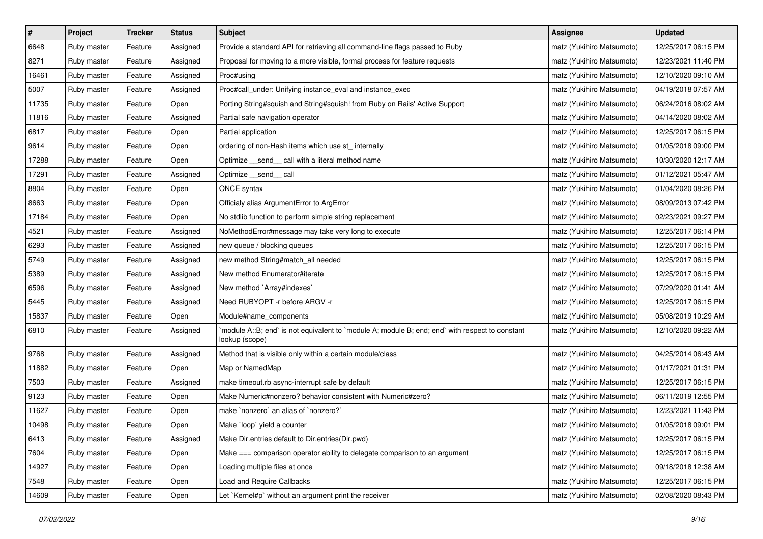| $\pmb{\#}$ | Project     | <b>Tracker</b> | <b>Status</b> | <b>Subject</b>                                                                                                   | <b>Assignee</b>           | <b>Updated</b>      |
|------------|-------------|----------------|---------------|------------------------------------------------------------------------------------------------------------------|---------------------------|---------------------|
| 6648       | Ruby master | Feature        | Assigned      | Provide a standard API for retrieving all command-line flags passed to Ruby                                      | matz (Yukihiro Matsumoto) | 12/25/2017 06:15 PM |
| 8271       | Ruby master | Feature        | Assigned      | Proposal for moving to a more visible, formal process for feature requests                                       | matz (Yukihiro Matsumoto) | 12/23/2021 11:40 PM |
| 16461      | Ruby master | Feature        | Assigned      | Proc#using                                                                                                       | matz (Yukihiro Matsumoto) | 12/10/2020 09:10 AM |
| 5007       | Ruby master | Feature        | Assigned      | Proc#call_under: Unifying instance_eval and instance_exec                                                        | matz (Yukihiro Matsumoto) | 04/19/2018 07:57 AM |
| 11735      | Ruby master | Feature        | Open          | Porting String#squish and String#squish! from Ruby on Rails' Active Support                                      | matz (Yukihiro Matsumoto) | 06/24/2016 08:02 AM |
| 11816      | Ruby master | Feature        | Assigned      | Partial safe navigation operator                                                                                 | matz (Yukihiro Matsumoto) | 04/14/2020 08:02 AM |
| 6817       | Ruby master | Feature        | Open          | Partial application                                                                                              | matz (Yukihiro Matsumoto) | 12/25/2017 06:15 PM |
| 9614       | Ruby master | Feature        | Open          | ordering of non-Hash items which use st_ internally                                                              | matz (Yukihiro Matsumoto) | 01/05/2018 09:00 PM |
| 17288      | Ruby master | Feature        | Open          | Optimize _send_ call with a literal method name                                                                  | matz (Yukihiro Matsumoto) | 10/30/2020 12:17 AM |
| 17291      | Ruby master | Feature        | Assigned      | Optimize __send__ call                                                                                           | matz (Yukihiro Matsumoto) | 01/12/2021 05:47 AM |
| 8804       | Ruby master | Feature        | Open          | ONCE syntax                                                                                                      | matz (Yukihiro Matsumoto) | 01/04/2020 08:26 PM |
| 8663       | Ruby master | Feature        | Open          | Officialy alias ArgumentError to ArgError                                                                        | matz (Yukihiro Matsumoto) | 08/09/2013 07:42 PM |
| 17184      | Ruby master | Feature        | Open          | No stdlib function to perform simple string replacement                                                          | matz (Yukihiro Matsumoto) | 02/23/2021 09:27 PM |
| 4521       | Ruby master | Feature        | Assigned      | NoMethodError#message may take very long to execute                                                              | matz (Yukihiro Matsumoto) | 12/25/2017 06:14 PM |
| 6293       | Ruby master | Feature        | Assigned      | new queue / blocking queues                                                                                      | matz (Yukihiro Matsumoto) | 12/25/2017 06:15 PM |
| 5749       | Ruby master | Feature        | Assigned      | new method String#match_all needed                                                                               | matz (Yukihiro Matsumoto) | 12/25/2017 06:15 PM |
| 5389       | Ruby master | Feature        | Assigned      | New method Enumerator#iterate                                                                                    | matz (Yukihiro Matsumoto) | 12/25/2017 06:15 PM |
| 6596       | Ruby master | Feature        | Assigned      | New method `Array#indexes`                                                                                       | matz (Yukihiro Matsumoto) | 07/29/2020 01:41 AM |
| 5445       | Ruby master | Feature        | Assigned      | Need RUBYOPT -r before ARGV -r                                                                                   | matz (Yukihiro Matsumoto) | 12/25/2017 06:15 PM |
| 15837      | Ruby master | Feature        | Open          | Module#name_components                                                                                           | matz (Yukihiro Matsumoto) | 05/08/2019 10:29 AM |
| 6810       | Ruby master | Feature        | Assigned      | module A::B; end` is not equivalent to `module A; module B; end; end` with respect to constant<br>lookup (scope) | matz (Yukihiro Matsumoto) | 12/10/2020 09:22 AM |
| 9768       | Ruby master | Feature        | Assigned      | Method that is visible only within a certain module/class                                                        | matz (Yukihiro Matsumoto) | 04/25/2014 06:43 AM |
| 11882      | Ruby master | Feature        | Open          | Map or NamedMap                                                                                                  | matz (Yukihiro Matsumoto) | 01/17/2021 01:31 PM |
| 7503       | Ruby master | Feature        | Assigned      | make timeout.rb async-interrupt safe by default                                                                  | matz (Yukihiro Matsumoto) | 12/25/2017 06:15 PM |
| 9123       | Ruby master | Feature        | Open          | Make Numeric#nonzero? behavior consistent with Numeric#zero?                                                     | matz (Yukihiro Matsumoto) | 06/11/2019 12:55 PM |
| 11627      | Ruby master | Feature        | Open          | make `nonzero` an alias of `nonzero?`                                                                            | matz (Yukihiro Matsumoto) | 12/23/2021 11:43 PM |
| 10498      | Ruby master | Feature        | Open          | Make `loop` yield a counter                                                                                      | matz (Yukihiro Matsumoto) | 01/05/2018 09:01 PM |
| 6413       | Ruby master | Feature        | Assigned      | Make Dir.entries default to Dir.entries(Dir.pwd)                                                                 | matz (Yukihiro Matsumoto) | 12/25/2017 06:15 PM |
| 7604       | Ruby master | Feature        | Open          | Make === comparison operator ability to delegate comparison to an argument                                       | matz (Yukihiro Matsumoto) | 12/25/2017 06:15 PM |
| 14927      | Ruby master | Feature        | Open          | Loading multiple files at once                                                                                   | matz (Yukihiro Matsumoto) | 09/18/2018 12:38 AM |
| 7548       | Ruby master | Feature        | Open          | Load and Require Callbacks                                                                                       | matz (Yukihiro Matsumoto) | 12/25/2017 06:15 PM |
| 14609      | Ruby master | Feature        | Open          | Let `Kernel#p` without an argument print the receiver                                                            | matz (Yukihiro Matsumoto) | 02/08/2020 08:43 PM |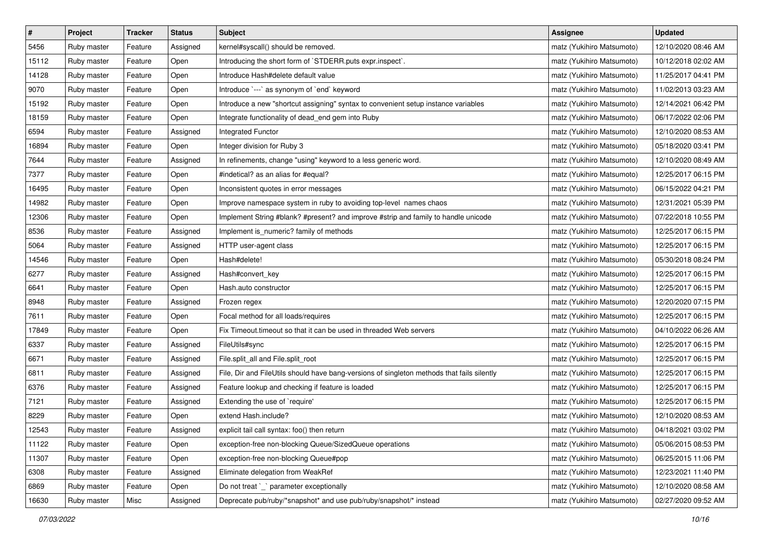| $\pmb{\#}$ | Project     | <b>Tracker</b> | <b>Status</b> | <b>Subject</b>                                                                             | <b>Assignee</b>           | <b>Updated</b>      |
|------------|-------------|----------------|---------------|--------------------------------------------------------------------------------------------|---------------------------|---------------------|
| 5456       | Ruby master | Feature        | Assigned      | kernel#syscall() should be removed.                                                        | matz (Yukihiro Matsumoto) | 12/10/2020 08:46 AM |
| 15112      | Ruby master | Feature        | Open          | Introducing the short form of `STDERR.puts expr.inspect`.                                  | matz (Yukihiro Matsumoto) | 10/12/2018 02:02 AM |
| 14128      | Ruby master | Feature        | Open          | Introduce Hash#delete default value                                                        | matz (Yukihiro Matsumoto) | 11/25/2017 04:41 PM |
| 9070       | Ruby master | Feature        | Open          | Introduce `---` as synonym of `end` keyword                                                | matz (Yukihiro Matsumoto) | 11/02/2013 03:23 AM |
| 15192      | Ruby master | Feature        | Open          | Introduce a new "shortcut assigning" syntax to convenient setup instance variables         | matz (Yukihiro Matsumoto) | 12/14/2021 06:42 PM |
| 18159      | Ruby master | Feature        | Open          | Integrate functionality of dead_end gem into Ruby                                          | matz (Yukihiro Matsumoto) | 06/17/2022 02:06 PM |
| 6594       | Ruby master | Feature        | Assigned      | Integrated Functor                                                                         | matz (Yukihiro Matsumoto) | 12/10/2020 08:53 AM |
| 16894      | Ruby master | Feature        | Open          | Integer division for Ruby 3                                                                | matz (Yukihiro Matsumoto) | 05/18/2020 03:41 PM |
| 7644       | Ruby master | Feature        | Assigned      | In refinements, change "using" keyword to a less generic word.                             | matz (Yukihiro Matsumoto) | 12/10/2020 08:49 AM |
| 7377       | Ruby master | Feature        | Open          | #indetical? as an alias for #equal?                                                        | matz (Yukihiro Matsumoto) | 12/25/2017 06:15 PM |
| 16495      | Ruby master | Feature        | Open          | Inconsistent quotes in error messages                                                      | matz (Yukihiro Matsumoto) | 06/15/2022 04:21 PM |
| 14982      | Ruby master | Feature        | Open          | Improve namespace system in ruby to avoiding top-level names chaos                         | matz (Yukihiro Matsumoto) | 12/31/2021 05:39 PM |
| 12306      | Ruby master | Feature        | Open          | Implement String #blank? #present? and improve #strip and family to handle unicode         | matz (Yukihiro Matsumoto) | 07/22/2018 10:55 PM |
| 8536       | Ruby master | Feature        | Assigned      | Implement is_numeric? family of methods                                                    | matz (Yukihiro Matsumoto) | 12/25/2017 06:15 PM |
| 5064       | Ruby master | Feature        | Assigned      | HTTP user-agent class                                                                      | matz (Yukihiro Matsumoto) | 12/25/2017 06:15 PM |
| 14546      | Ruby master | Feature        | Open          | Hash#delete!                                                                               | matz (Yukihiro Matsumoto) | 05/30/2018 08:24 PM |
| 6277       | Ruby master | Feature        | Assigned      | Hash#convert_key                                                                           | matz (Yukihiro Matsumoto) | 12/25/2017 06:15 PM |
| 6641       | Ruby master | Feature        | Open          | Hash.auto constructor                                                                      | matz (Yukihiro Matsumoto) | 12/25/2017 06:15 PM |
| 8948       | Ruby master | Feature        | Assigned      | Frozen regex                                                                               | matz (Yukihiro Matsumoto) | 12/20/2020 07:15 PM |
| 7611       | Ruby master | Feature        | Open          | Focal method for all loads/requires                                                        | matz (Yukihiro Matsumoto) | 12/25/2017 06:15 PM |
| 17849      | Ruby master | Feature        | Open          | Fix Timeout timeout so that it can be used in threaded Web servers                         | matz (Yukihiro Matsumoto) | 04/10/2022 06:26 AM |
| 6337       | Ruby master | Feature        | Assigned      | FileUtils#sync                                                                             | matz (Yukihiro Matsumoto) | 12/25/2017 06:15 PM |
| 6671       | Ruby master | Feature        | Assigned      | File.split_all and File.split_root                                                         | matz (Yukihiro Matsumoto) | 12/25/2017 06:15 PM |
| 6811       | Ruby master | Feature        | Assigned      | File, Dir and FileUtils should have bang-versions of singleton methods that fails silently | matz (Yukihiro Matsumoto) | 12/25/2017 06:15 PM |
| 6376       | Ruby master | Feature        | Assigned      | Feature lookup and checking if feature is loaded                                           | matz (Yukihiro Matsumoto) | 12/25/2017 06:15 PM |
| 7121       | Ruby master | Feature        | Assigned      | Extending the use of `require'                                                             | matz (Yukihiro Matsumoto) | 12/25/2017 06:15 PM |
| 8229       | Ruby master | Feature        | Open          | extend Hash.include?                                                                       | matz (Yukihiro Matsumoto) | 12/10/2020 08:53 AM |
| 12543      | Ruby master | Feature        | Assigned      | explicit tail call syntax: foo() then return                                               | matz (Yukihiro Matsumoto) | 04/18/2021 03:02 PM |
| 11122      | Ruby master | Feature        | Open          | exception-free non-blocking Queue/SizedQueue operations                                    | matz (Yukihiro Matsumoto) | 05/06/2015 08:53 PM |
| 11307      | Ruby master | Feature        | Open          | exception-free non-blocking Queue#pop                                                      | matz (Yukihiro Matsumoto) | 06/25/2015 11:06 PM |
| 6308       | Ruby master | Feature        | Assigned      | Eliminate delegation from WeakRef                                                          | matz (Yukihiro Matsumoto) | 12/23/2021 11:40 PM |
| 6869       | Ruby master | Feature        | Open          | Do not treat `_` parameter exceptionally                                                   | matz (Yukihiro Matsumoto) | 12/10/2020 08:58 AM |
| 16630      | Ruby master | Misc           | Assigned      | Deprecate pub/ruby/*snapshot* and use pub/ruby/snapshot/* instead                          | matz (Yukihiro Matsumoto) | 02/27/2020 09:52 AM |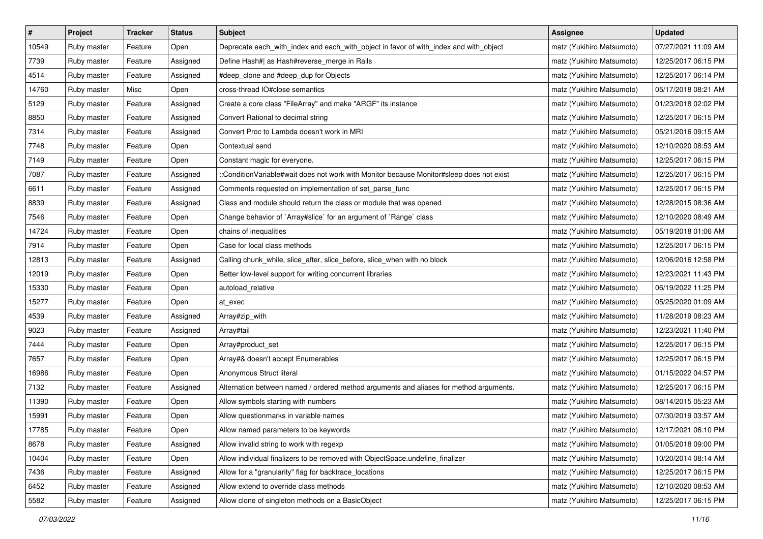| $\pmb{\#}$ | Project     | <b>Tracker</b> | <b>Status</b> | <b>Subject</b>                                                                           | Assignee                  | <b>Updated</b>      |
|------------|-------------|----------------|---------------|------------------------------------------------------------------------------------------|---------------------------|---------------------|
| 10549      | Ruby master | Feature        | Open          | Deprecate each_with_index and each_with_object in favor of with_index and with_object    | matz (Yukihiro Matsumoto) | 07/27/2021 11:09 AM |
| 7739       | Ruby master | Feature        | Assigned      | Define Hash#  as Hash#reverse_merge in Rails                                             | matz (Yukihiro Matsumoto) | 12/25/2017 06:15 PM |
| 4514       | Ruby master | Feature        | Assigned      | #deep_clone and #deep_dup for Objects                                                    | matz (Yukihiro Matsumoto) | 12/25/2017 06:14 PM |
| 14760      | Ruby master | Misc           | Open          | cross-thread IO#close semantics                                                          | matz (Yukihiro Matsumoto) | 05/17/2018 08:21 AM |
| 5129       | Ruby master | Feature        | Assigned      | Create a core class "FileArray" and make "ARGF" its instance                             | matz (Yukihiro Matsumoto) | 01/23/2018 02:02 PM |
| 8850       | Ruby master | Feature        | Assigned      | Convert Rational to decimal string                                                       | matz (Yukihiro Matsumoto) | 12/25/2017 06:15 PM |
| 7314       | Ruby master | Feature        | Assigned      | Convert Proc to Lambda doesn't work in MRI                                               | matz (Yukihiro Matsumoto) | 05/21/2016 09:15 AM |
| 7748       | Ruby master | Feature        | Open          | Contextual send                                                                          | matz (Yukihiro Matsumoto) | 12/10/2020 08:53 AM |
| 7149       | Ruby master | Feature        | Open          | Constant magic for everyone.                                                             | matz (Yukihiro Matsumoto) | 12/25/2017 06:15 PM |
| 7087       | Ruby master | Feature        | Assigned      | ::ConditionVariable#wait does not work with Monitor because Monitor#sleep does not exist | matz (Yukihiro Matsumoto) | 12/25/2017 06:15 PM |
| 6611       | Ruby master | Feature        | Assigned      | Comments requested on implementation of set_parse_func                                   | matz (Yukihiro Matsumoto) | 12/25/2017 06:15 PM |
| 8839       | Ruby master | Feature        | Assigned      | Class and module should return the class or module that was opened                       | matz (Yukihiro Matsumoto) | 12/28/2015 08:36 AM |
| 7546       | Ruby master | Feature        | Open          | Change behavior of `Array#slice` for an argument of `Range` class                        | matz (Yukihiro Matsumoto) | 12/10/2020 08:49 AM |
| 14724      | Ruby master | Feature        | Open          | chains of inequalities                                                                   | matz (Yukihiro Matsumoto) | 05/19/2018 01:06 AM |
| 7914       | Ruby master | Feature        | Open          | Case for local class methods                                                             | matz (Yukihiro Matsumoto) | 12/25/2017 06:15 PM |
| 12813      | Ruby master | Feature        | Assigned      | Calling chunk_while, slice_after, slice_before, slice_when with no block                 | matz (Yukihiro Matsumoto) | 12/06/2016 12:58 PM |
| 12019      | Ruby master | Feature        | Open          | Better low-level support for writing concurrent libraries                                | matz (Yukihiro Matsumoto) | 12/23/2021 11:43 PM |
| 15330      | Ruby master | Feature        | Open          | autoload_relative                                                                        | matz (Yukihiro Matsumoto) | 06/19/2022 11:25 PM |
| 15277      | Ruby master | Feature        | Open          | at exec                                                                                  | matz (Yukihiro Matsumoto) | 05/25/2020 01:09 AM |
| 4539       | Ruby master | Feature        | Assigned      | Array#zip_with                                                                           | matz (Yukihiro Matsumoto) | 11/28/2019 08:23 AM |
| 9023       | Ruby master | Feature        | Assigned      | Array#tail                                                                               | matz (Yukihiro Matsumoto) | 12/23/2021 11:40 PM |
| 7444       | Ruby master | Feature        | Open          | Array#product_set                                                                        | matz (Yukihiro Matsumoto) | 12/25/2017 06:15 PM |
| 7657       | Ruby master | Feature        | Open          | Array#& doesn't accept Enumerables                                                       | matz (Yukihiro Matsumoto) | 12/25/2017 06:15 PM |
| 16986      | Ruby master | Feature        | Open          | Anonymous Struct literal                                                                 | matz (Yukihiro Matsumoto) | 01/15/2022 04:57 PM |
| 7132       | Ruby master | Feature        | Assigned      | Alternation between named / ordered method arguments and aliases for method arguments.   | matz (Yukihiro Matsumoto) | 12/25/2017 06:15 PM |
| 11390      | Ruby master | Feature        | Open          | Allow symbols starting with numbers                                                      | matz (Yukihiro Matsumoto) | 08/14/2015 05:23 AM |
| 15991      | Ruby master | Feature        | Open          | Allow questionmarks in variable names                                                    | matz (Yukihiro Matsumoto) | 07/30/2019 03:57 AM |
| 17785      | Ruby master | Feature        | Open          | Allow named parameters to be keywords                                                    | matz (Yukihiro Matsumoto) | 12/17/2021 06:10 PM |
| 8678       | Ruby master | Feature        | Assigned      | Allow invalid string to work with regexp                                                 | matz (Yukihiro Matsumoto) | 01/05/2018 09:00 PM |
| 10404      | Ruby master | Feature        | Open          | Allow individual finalizers to be removed with ObjectSpace.undefine_finalizer            | matz (Yukihiro Matsumoto) | 10/20/2014 08:14 AM |
| 7436       | Ruby master | Feature        | Assigned      | Allow for a "granularity" flag for backtrace_locations                                   | matz (Yukihiro Matsumoto) | 12/25/2017 06:15 PM |
| 6452       | Ruby master | Feature        | Assigned      | Allow extend to override class methods                                                   | matz (Yukihiro Matsumoto) | 12/10/2020 08:53 AM |
| 5582       | Ruby master | Feature        | Assigned      | Allow clone of singleton methods on a BasicObject                                        | matz (Yukihiro Matsumoto) | 12/25/2017 06:15 PM |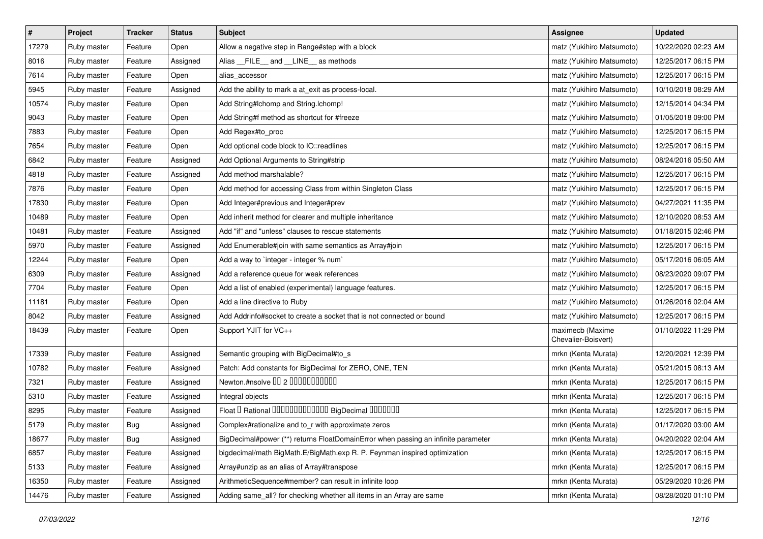| $\sharp$ | Project     | Tracker    | <b>Status</b> | <b>Subject</b>                                                                    | Assignee                                | <b>Updated</b>      |
|----------|-------------|------------|---------------|-----------------------------------------------------------------------------------|-----------------------------------------|---------------------|
| 17279    | Ruby master | Feature    | Open          | Allow a negative step in Range#step with a block                                  | matz (Yukihiro Matsumoto)               | 10/22/2020 02:23 AM |
| 8016     | Ruby master | Feature    | Assigned      | Alias __FILE__ and __LINE__ as methods                                            | matz (Yukihiro Matsumoto)               | 12/25/2017 06:15 PM |
| 7614     | Ruby master | Feature    | Open          | alias accessor                                                                    | matz (Yukihiro Matsumoto)               | 12/25/2017 06:15 PM |
| 5945     | Ruby master | Feature    | Assigned      | Add the ability to mark a at_exit as process-local.                               | matz (Yukihiro Matsumoto)               | 10/10/2018 08:29 AM |
| 10574    | Ruby master | Feature    | Open          | Add String#Ichomp and String.Ichomp!                                              | matz (Yukihiro Matsumoto)               | 12/15/2014 04:34 PM |
| 9043     | Ruby master | Feature    | Open          | Add String#f method as shortcut for #freeze                                       | matz (Yukihiro Matsumoto)               | 01/05/2018 09:00 PM |
| 7883     | Ruby master | Feature    | Open          | Add Regex#to_proc                                                                 | matz (Yukihiro Matsumoto)               | 12/25/2017 06:15 PM |
| 7654     | Ruby master | Feature    | Open          | Add optional code block to IO::readlines                                          | matz (Yukihiro Matsumoto)               | 12/25/2017 06:15 PM |
| 6842     | Ruby master | Feature    | Assigned      | Add Optional Arguments to String#strip                                            | matz (Yukihiro Matsumoto)               | 08/24/2016 05:50 AM |
| 4818     | Ruby master | Feature    | Assigned      | Add method marshalable?                                                           | matz (Yukihiro Matsumoto)               | 12/25/2017 06:15 PM |
| 7876     | Ruby master | Feature    | Open          | Add method for accessing Class from within Singleton Class                        | matz (Yukihiro Matsumoto)               | 12/25/2017 06:15 PM |
| 17830    | Ruby master | Feature    | Open          | Add Integer#previous and Integer#prev                                             | matz (Yukihiro Matsumoto)               | 04/27/2021 11:35 PM |
| 10489    | Ruby master | Feature    | Open          | Add inherit method for clearer and multiple inheritance                           | matz (Yukihiro Matsumoto)               | 12/10/2020 08:53 AM |
| 10481    | Ruby master | Feature    | Assigned      | Add "if" and "unless" clauses to rescue statements                                | matz (Yukihiro Matsumoto)               | 01/18/2015 02:46 PM |
| 5970     | Ruby master | Feature    | Assigned      | Add Enumerable#join with same semantics as Array#join                             | matz (Yukihiro Matsumoto)               | 12/25/2017 06:15 PM |
| 12244    | Ruby master | Feature    | Open          | Add a way to `integer - integer % num`                                            | matz (Yukihiro Matsumoto)               | 05/17/2016 06:05 AM |
| 6309     | Ruby master | Feature    | Assigned      | Add a reference queue for weak references                                         | matz (Yukihiro Matsumoto)               | 08/23/2020 09:07 PM |
| 7704     | Ruby master | Feature    | Open          | Add a list of enabled (experimental) language features.                           | matz (Yukihiro Matsumoto)               | 12/25/2017 06:15 PM |
| 11181    | Ruby master | Feature    | Open          | Add a line directive to Ruby                                                      | matz (Yukihiro Matsumoto)               | 01/26/2016 02:04 AM |
| 8042     | Ruby master | Feature    | Assigned      | Add Addrinfo#socket to create a socket that is not connected or bound             | matz (Yukihiro Matsumoto)               | 12/25/2017 06:15 PM |
| 18439    | Ruby master | Feature    | Open          | Support YJIT for VC++                                                             | maximecb (Maxime<br>Chevalier-Boisvert) | 01/10/2022 11:29 PM |
| 17339    | Ruby master | Feature    | Assigned      | Semantic grouping with BigDecimal#to_s                                            | mrkn (Kenta Murata)                     | 12/20/2021 12:39 PM |
| 10782    | Ruby master | Feature    | Assigned      | Patch: Add constants for BigDecimal for ZERO, ONE, TEN                            | mrkn (Kenta Murata)                     | 05/21/2015 08:13 AM |
| 7321     | Ruby master | Feature    | Assigned      | Newton.#nsolve 00 2 0000000000                                                    | mrkn (Kenta Murata)                     | 12/25/2017 06:15 PM |
| 5310     | Ruby master | Feature    | Assigned      | Integral objects                                                                  | mrkn (Kenta Murata)                     | 12/25/2017 06:15 PM |
| 8295     | Ruby master | Feature    | Assigned      | Float I Rational 0000000000000 BigDecimal 0000000                                 | mrkn (Kenta Murata)                     | 12/25/2017 06:15 PM |
| 5179     | Ruby master | <b>Bug</b> | Assigned      | Complex#rationalize and to_r with approximate zeros                               | mrkn (Kenta Murata)                     | 01/17/2020 03:00 AM |
| 18677    | Ruby master | <b>Bug</b> | Assigned      | BigDecimal#power (**) returns FloatDomainError when passing an infinite parameter | mrkn (Kenta Murata)                     | 04/20/2022 02:04 AM |
| 6857     | Ruby master | Feature    | Assigned      | bigdecimal/math BigMath.E/BigMath.exp R. P. Feynman inspired optimization         | mrkn (Kenta Murata)                     | 12/25/2017 06:15 PM |
| 5133     | Ruby master | Feature    | Assigned      | Array#unzip as an alias of Array#transpose                                        | mrkn (Kenta Murata)                     | 12/25/2017 06:15 PM |
| 16350    | Ruby master | Feature    | Assigned      | ArithmeticSequence#member? can result in infinite loop                            | mrkn (Kenta Murata)                     | 05/29/2020 10:26 PM |
| 14476    | Ruby master | Feature    | Assigned      | Adding same_all? for checking whether all items in an Array are same              | mrkn (Kenta Murata)                     | 08/28/2020 01:10 PM |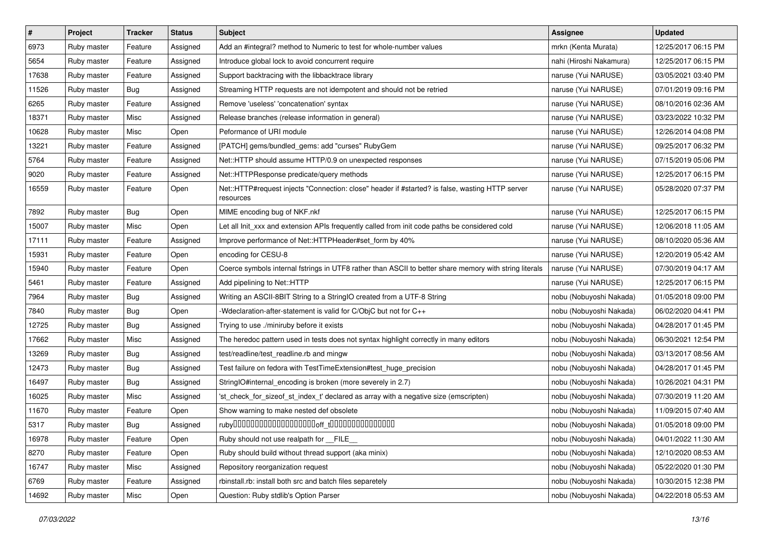| $\sharp$ | Project     | <b>Tracker</b> | <b>Status</b> | Subject                                                                                                      | Assignee                | <b>Updated</b>      |
|----------|-------------|----------------|---------------|--------------------------------------------------------------------------------------------------------------|-------------------------|---------------------|
| 6973     | Ruby master | Feature        | Assigned      | Add an #integral? method to Numeric to test for whole-number values                                          | mrkn (Kenta Murata)     | 12/25/2017 06:15 PM |
| 5654     | Ruby master | Feature        | Assigned      | Introduce global lock to avoid concurrent require                                                            | nahi (Hiroshi Nakamura) | 12/25/2017 06:15 PM |
| 17638    | Ruby master | Feature        | Assigned      | Support backtracing with the libbacktrace library                                                            | naruse (Yui NARUSE)     | 03/05/2021 03:40 PM |
| 11526    | Ruby master | <b>Bug</b>     | Assigned      | Streaming HTTP requests are not idempotent and should not be retried                                         | naruse (Yui NARUSE)     | 07/01/2019 09:16 PM |
| 6265     | Ruby master | Feature        | Assigned      | Remove 'useless' 'concatenation' syntax                                                                      | naruse (Yui NARUSE)     | 08/10/2016 02:36 AM |
| 18371    | Ruby master | Misc           | Assigned      | Release branches (release information in general)                                                            | naruse (Yui NARUSE)     | 03/23/2022 10:32 PM |
| 10628    | Ruby master | Misc           | Open          | Peformance of URI module                                                                                     | naruse (Yui NARUSE)     | 12/26/2014 04:08 PM |
| 13221    | Ruby master | Feature        | Assigned      | [PATCH] gems/bundled_gems: add "curses" RubyGem                                                              | naruse (Yui NARUSE)     | 09/25/2017 06:32 PM |
| 5764     | Ruby master | Feature        | Assigned      | Net::HTTP should assume HTTP/0.9 on unexpected responses                                                     | naruse (Yui NARUSE)     | 07/15/2019 05:06 PM |
| 9020     | Ruby master | Feature        | Assigned      | Net::HTTPResponse predicate/query methods                                                                    | naruse (Yui NARUSE)     | 12/25/2017 06:15 PM |
| 16559    | Ruby master | Feature        | Open          | Net::HTTP#request injects "Connection: close" header if #started? is false, wasting HTTP server<br>resources | naruse (Yui NARUSE)     | 05/28/2020 07:37 PM |
| 7892     | Ruby master | Bug            | Open          | MIME encoding bug of NKF.nkf                                                                                 | naruse (Yui NARUSE)     | 12/25/2017 06:15 PM |
| 15007    | Ruby master | Misc           | Open          | Let all Init_xxx and extension APIs frequently called from init code paths be considered cold                | naruse (Yui NARUSE)     | 12/06/2018 11:05 AM |
| 17111    | Ruby master | Feature        | Assigned      | Improve performance of Net::HTTPHeader#set_form by 40%                                                       | naruse (Yui NARUSE)     | 08/10/2020 05:36 AM |
| 15931    | Ruby master | Feature        | Open          | encoding for CESU-8                                                                                          | naruse (Yui NARUSE)     | 12/20/2019 05:42 AM |
| 15940    | Ruby master | Feature        | Open          | Coerce symbols internal fstrings in UTF8 rather than ASCII to better share memory with string literals       | naruse (Yui NARUSE)     | 07/30/2019 04:17 AM |
| 5461     | Ruby master | Feature        | Assigned      | Add pipelining to Net::HTTP                                                                                  | naruse (Yui NARUSE)     | 12/25/2017 06:15 PM |
| 7964     | Ruby master | Bug            | Assigned      | Writing an ASCII-8BIT String to a StringIO created from a UTF-8 String                                       | nobu (Nobuyoshi Nakada) | 01/05/2018 09:00 PM |
| 7840     | Ruby master | Bug            | Open          | -Wdeclaration-after-statement is valid for C/ObjC but not for C++                                            | nobu (Nobuyoshi Nakada) | 06/02/2020 04:41 PM |
| 12725    | Ruby master | <b>Bug</b>     | Assigned      | Trying to use ./miniruby before it exists                                                                    | nobu (Nobuyoshi Nakada) | 04/28/2017 01:45 PM |
| 17662    | Ruby master | Misc           | Assigned      | The heredoc pattern used in tests does not syntax highlight correctly in many editors                        | nobu (Nobuyoshi Nakada) | 06/30/2021 12:54 PM |
| 13269    | Ruby master | <b>Bug</b>     | Assigned      | test/readline/test_readline.rb and mingw                                                                     | nobu (Nobuyoshi Nakada) | 03/13/2017 08:56 AM |
| 12473    | Ruby master | <b>Bug</b>     | Assigned      | Test failure on fedora with TestTimeExtension#test_huge_precision                                            | nobu (Nobuyoshi Nakada) | 04/28/2017 01:45 PM |
| 16497    | Ruby master | <b>Bug</b>     | Assigned      | StringIO#internal_encoding is broken (more severely in 2.7)                                                  | nobu (Nobuyoshi Nakada) | 10/26/2021 04:31 PM |
| 16025    | Ruby master | Misc           | Assigned      | 'st_check_for_sizeof_st_index_t' declared as array with a negative size (emscripten)                         | nobu (Nobuyoshi Nakada) | 07/30/2019 11:20 AM |
| 11670    | Ruby master | Feature        | Open          | Show warning to make nested def obsolete                                                                     | nobu (Nobuyoshi Nakada) | 11/09/2015 07:40 AM |
| 5317     | Ruby master | <b>Bug</b>     | Assigned      |                                                                                                              | nobu (Nobuyoshi Nakada) | 01/05/2018 09:00 PM |
| 16978    | Ruby master | Feature        | Open          | Ruby should not use realpath for __FILE_                                                                     | nobu (Nobuyoshi Nakada) | 04/01/2022 11:30 AM |
| 8270     | Ruby master | Feature        | Open          | Ruby should build without thread support (aka minix)                                                         | nobu (Nobuyoshi Nakada) | 12/10/2020 08:53 AM |
| 16747    | Ruby master | Misc           | Assigned      | Repository reorganization request                                                                            | nobu (Nobuyoshi Nakada) | 05/22/2020 01:30 PM |
| 6769     | Ruby master | Feature        | Assigned      | rbinstall.rb: install both src and batch files separetely                                                    | nobu (Nobuyoshi Nakada) | 10/30/2015 12:38 PM |
| 14692    | Ruby master | Misc           | Open          | Question: Ruby stdlib's Option Parser                                                                        | nobu (Nobuyoshi Nakada) | 04/22/2018 05:53 AM |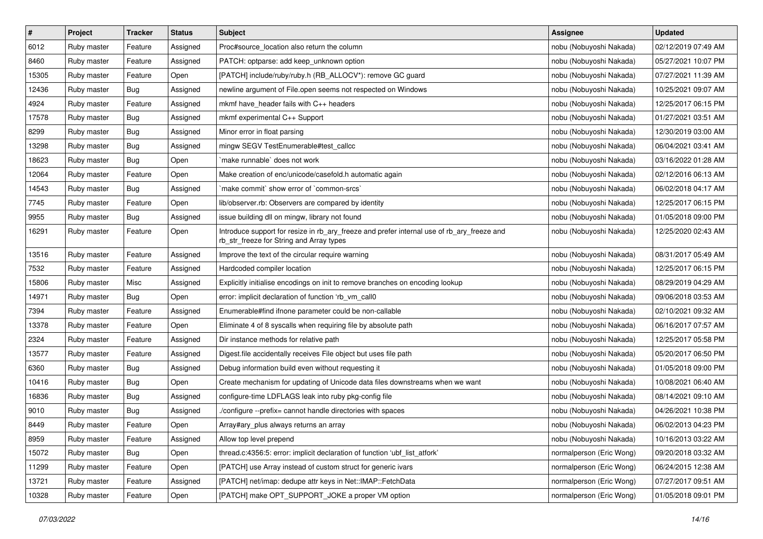| $\pmb{\#}$ | Project     | <b>Tracker</b> | <b>Status</b> | <b>Subject</b>                                                                                                                         | <b>Assignee</b>          | <b>Updated</b>      |
|------------|-------------|----------------|---------------|----------------------------------------------------------------------------------------------------------------------------------------|--------------------------|---------------------|
| 6012       | Ruby master | Feature        | Assigned      | Proc#source_location also return the column                                                                                            | nobu (Nobuyoshi Nakada)  | 02/12/2019 07:49 AM |
| 8460       | Ruby master | Feature        | Assigned      | PATCH: optparse: add keep_unknown option                                                                                               | nobu (Nobuyoshi Nakada)  | 05/27/2021 10:07 PM |
| 15305      | Ruby master | Feature        | Open          | [PATCH] include/ruby/ruby.h (RB_ALLOCV*): remove GC guard                                                                              | nobu (Nobuyoshi Nakada)  | 07/27/2021 11:39 AM |
| 12436      | Ruby master | <b>Bug</b>     | Assigned      | newline argument of File.open seems not respected on Windows                                                                           | nobu (Nobuyoshi Nakada)  | 10/25/2021 09:07 AM |
| 4924       | Ruby master | Feature        | Assigned      | mkmf have_header fails with C++ headers                                                                                                | nobu (Nobuyoshi Nakada)  | 12/25/2017 06:15 PM |
| 17578      | Ruby master | Bug            | Assigned      | mkmf experimental C++ Support                                                                                                          | nobu (Nobuyoshi Nakada)  | 01/27/2021 03:51 AM |
| 8299       | Ruby master | <b>Bug</b>     | Assigned      | Minor error in float parsing                                                                                                           | nobu (Nobuyoshi Nakada)  | 12/30/2019 03:00 AM |
| 13298      | Ruby master | <b>Bug</b>     | Assigned      | mingw SEGV TestEnumerable#test_callcc                                                                                                  | nobu (Nobuyoshi Nakada)  | 06/04/2021 03:41 AM |
| 18623      | Ruby master | Bug            | Open          | make runnable' does not work                                                                                                           | nobu (Nobuyoshi Nakada)  | 03/16/2022 01:28 AM |
| 12064      | Ruby master | Feature        | Open          | Make creation of enc/unicode/casefold.h automatic again                                                                                | nobu (Nobuyoshi Nakada)  | 02/12/2016 06:13 AM |
| 14543      | Ruby master | Bug            | Assigned      | 'make commit' show error of 'common-srcs'                                                                                              | nobu (Nobuyoshi Nakada)  | 06/02/2018 04:17 AM |
| 7745       | Ruby master | Feature        | Open          | lib/observer.rb: Observers are compared by identity                                                                                    | nobu (Nobuyoshi Nakada)  | 12/25/2017 06:15 PM |
| 9955       | Ruby master | Bug            | Assigned      | issue building dll on mingw, library not found                                                                                         | nobu (Nobuyoshi Nakada)  | 01/05/2018 09:00 PM |
| 16291      | Ruby master | Feature        | Open          | Introduce support for resize in rb_ary_freeze and prefer internal use of rb_ary_freeze and<br>rb_str_freeze for String and Array types | nobu (Nobuyoshi Nakada)  | 12/25/2020 02:43 AM |
| 13516      | Ruby master | Feature        | Assigned      | Improve the text of the circular require warning                                                                                       | nobu (Nobuyoshi Nakada)  | 08/31/2017 05:49 AM |
| 7532       | Ruby master | Feature        | Assigned      | Hardcoded compiler location                                                                                                            | nobu (Nobuyoshi Nakada)  | 12/25/2017 06:15 PM |
| 15806      | Ruby master | Misc           | Assigned      | Explicitly initialise encodings on init to remove branches on encoding lookup                                                          | nobu (Nobuyoshi Nakada)  | 08/29/2019 04:29 AM |
| 14971      | Ruby master | <b>Bug</b>     | Open          | error: implicit declaration of function 'rb vm call0                                                                                   | nobu (Nobuyoshi Nakada)  | 09/06/2018 03:53 AM |
| 7394       | Ruby master | Feature        | Assigned      | Enumerable#find ifnone parameter could be non-callable                                                                                 | nobu (Nobuyoshi Nakada)  | 02/10/2021 09:32 AM |
| 13378      | Ruby master | Feature        | Open          | Eliminate 4 of 8 syscalls when requiring file by absolute path                                                                         | nobu (Nobuyoshi Nakada)  | 06/16/2017 07:57 AM |
| 2324       | Ruby master | Feature        | Assigned      | Dir instance methods for relative path                                                                                                 | nobu (Nobuyoshi Nakada)  | 12/25/2017 05:58 PM |
| 13577      | Ruby master | Feature        | Assigned      | Digest.file accidentally receives File object but uses file path                                                                       | nobu (Nobuyoshi Nakada)  | 05/20/2017 06:50 PM |
| 6360       | Ruby master | Bug            | Assigned      | Debug information build even without requesting it                                                                                     | nobu (Nobuyoshi Nakada)  | 01/05/2018 09:00 PM |
| 10416      | Ruby master | Bug            | Open          | Create mechanism for updating of Unicode data files downstreams when we want                                                           | nobu (Nobuyoshi Nakada)  | 10/08/2021 06:40 AM |
| 16836      | Ruby master | <b>Bug</b>     | Assigned      | configure-time LDFLAGS leak into ruby pkg-config file                                                                                  | nobu (Nobuyoshi Nakada)  | 08/14/2021 09:10 AM |
| 9010       | Ruby master | Bug            | Assigned      | /configure --prefix= cannot handle directories with spaces                                                                             | nobu (Nobuyoshi Nakada)  | 04/26/2021 10:38 PM |
| 8449       | Ruby master | Feature        | Open          | Array#ary_plus always returns an array                                                                                                 | nobu (Nobuyoshi Nakada)  | 06/02/2013 04:23 PM |
| 8959       | Ruby master | Feature        | Assigned      | Allow top level prepend                                                                                                                | nobu (Nobuyoshi Nakada)  | 10/16/2013 03:22 AM |
| 15072      | Ruby master | <b>Bug</b>     | Open          | thread.c:4356:5: error: implicit declaration of function 'ubf_list_atfork'                                                             | normalperson (Eric Wong) | 09/20/2018 03:32 AM |
| 11299      | Ruby master | Feature        | Open          | [PATCH] use Array instead of custom struct for generic ivars                                                                           | normalperson (Eric Wong) | 06/24/2015 12:38 AM |
| 13721      | Ruby master | Feature        | Assigned      | [PATCH] net/imap: dedupe attr keys in Net::IMAP::FetchData                                                                             | normalperson (Eric Wong) | 07/27/2017 09:51 AM |
| 10328      | Ruby master | Feature        | Open          | [PATCH] make OPT_SUPPORT_JOKE a proper VM option                                                                                       | normalperson (Eric Wong) | 01/05/2018 09:01 PM |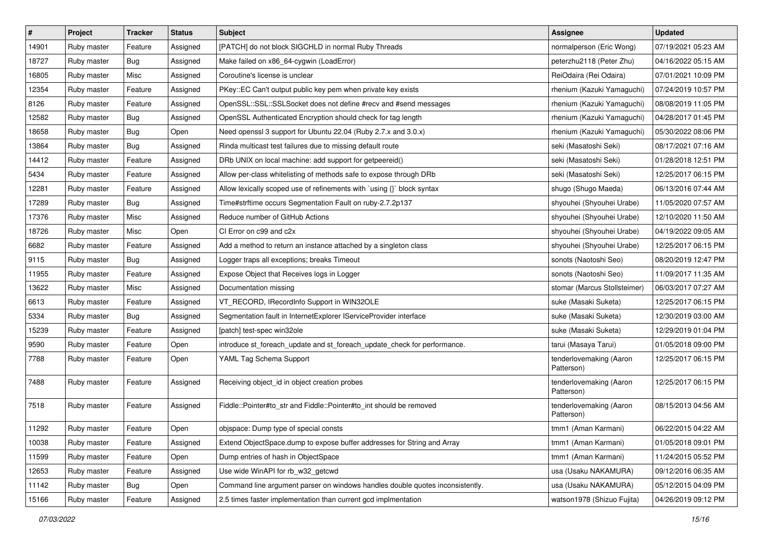| $\vert$ # | Project     | Tracker    | <b>Status</b> | <b>Subject</b>                                                                | <b>Assignee</b>                       | <b>Updated</b>      |
|-----------|-------------|------------|---------------|-------------------------------------------------------------------------------|---------------------------------------|---------------------|
| 14901     | Ruby master | Feature    | Assigned      | [PATCH] do not block SIGCHLD in normal Ruby Threads                           | normalperson (Eric Wong)              | 07/19/2021 05:23 AM |
| 18727     | Ruby master | Bug        | Assigned      | Make failed on x86_64-cygwin (LoadError)                                      | peterzhu2118 (Peter Zhu)              | 04/16/2022 05:15 AM |
| 16805     | Ruby master | Misc       | Assigned      | Coroutine's license is unclear                                                | ReiOdaira (Rei Odaira)                | 07/01/2021 10:09 PM |
| 12354     | Ruby master | Feature    | Assigned      | PKey::EC Can't output public key pem when private key exists                  | rhenium (Kazuki Yamaguchi)            | 07/24/2019 10:57 PM |
| 8126      | Ruby master | Feature    | Assigned      | OpenSSL::SSL::SSLSocket does not define #recv and #send messages              | rhenium (Kazuki Yamaguchi)            | 08/08/2019 11:05 PM |
| 12582     | Ruby master | <b>Bug</b> | Assigned      | OpenSSL Authenticated Encryption should check for tag length                  | rhenium (Kazuki Yamaguchi)            | 04/28/2017 01:45 PM |
| 18658     | Ruby master | Bug        | Open          | Need openssl 3 support for Ubuntu 22.04 (Ruby 2.7.x and 3.0.x)                | rhenium (Kazuki Yamaguchi)            | 05/30/2022 08:06 PM |
| 13864     | Ruby master | <b>Bug</b> | Assigned      | Rinda multicast test failures due to missing default route                    | seki (Masatoshi Seki)                 | 08/17/2021 07:16 AM |
| 14412     | Ruby master | Feature    | Assigned      | DRb UNIX on local machine: add support for getpeereid()                       | seki (Masatoshi Seki)                 | 01/28/2018 12:51 PM |
| 5434      | Ruby master | Feature    | Assigned      | Allow per-class whitelisting of methods safe to expose through DRb            | seki (Masatoshi Seki)                 | 12/25/2017 06:15 PM |
| 12281     | Ruby master | Feature    | Assigned      | Allow lexically scoped use of refinements with `using {}` block syntax        | shugo (Shugo Maeda)                   | 06/13/2016 07:44 AM |
| 17289     | Ruby master | <b>Bug</b> | Assigned      | Time#strftime occurs Segmentation Fault on ruby-2.7.2p137                     | shyouhei (Shyouhei Urabe)             | 11/05/2020 07:57 AM |
| 17376     | Ruby master | Misc       | Assigned      | Reduce number of GitHub Actions                                               | shyouhei (Shyouhei Urabe)             | 12/10/2020 11:50 AM |
| 18726     | Ruby master | Misc       | Open          | CI Error on c99 and c2x                                                       | shyouhei (Shyouhei Urabe)             | 04/19/2022 09:05 AM |
| 6682      | Ruby master | Feature    | Assigned      | Add a method to return an instance attached by a singleton class              | shyouhei (Shyouhei Urabe)             | 12/25/2017 06:15 PM |
| 9115      | Ruby master | <b>Bug</b> | Assigned      | Logger traps all exceptions; breaks Timeout                                   | sonots (Naotoshi Seo)                 | 08/20/2019 12:47 PM |
| 11955     | Ruby master | Feature    | Assigned      | Expose Object that Receives logs in Logger                                    | sonots (Naotoshi Seo)                 | 11/09/2017 11:35 AM |
| 13622     | Ruby master | Misc       | Assigned      | Documentation missing                                                         | stomar (Marcus Stollsteimer)          | 06/03/2017 07:27 AM |
| 6613      | Ruby master | Feature    | Assigned      | VT_RECORD, IRecordInfo Support in WIN32OLE                                    | suke (Masaki Suketa)                  | 12/25/2017 06:15 PM |
| 5334      | Ruby master | <b>Bug</b> | Assigned      | Segmentation fault in InternetExplorer IServiceProvider interface             | suke (Masaki Suketa)                  | 12/30/2019 03:00 AM |
| 15239     | Ruby master | Feature    | Assigned      | [patch] test-spec win32ole                                                    | suke (Masaki Suketa)                  | 12/29/2019 01:04 PM |
| 9590      | Ruby master | Feature    | Open          | introduce st_foreach_update and st_foreach_update_check for performance.      | tarui (Masaya Tarui)                  | 01/05/2018 09:00 PM |
| 7788      | Ruby master | Feature    | Open          | YAML Tag Schema Support                                                       | tenderlovemaking (Aaron<br>Patterson) | 12/25/2017 06:15 PM |
| 7488      | Ruby master | Feature    | Assigned      | Receiving object_id in object creation probes                                 | tenderlovemaking (Aaron<br>Patterson) | 12/25/2017 06:15 PM |
| 7518      | Ruby master | Feature    | Assigned      | Fiddle::Pointer#to_str and Fiddle::Pointer#to_int should be removed           | tenderlovemaking (Aaron<br>Patterson) | 08/15/2013 04:56 AM |
| 11292     | Ruby master | Feature    | Open          | objspace: Dump type of special consts                                         | tmm1 (Aman Karmani)                   | 06/22/2015 04:22 AM |
| 10038     | Ruby master | Feature    | Assigned      | Extend ObjectSpace.dump to expose buffer addresses for String and Array       | tmm1 (Aman Karmani)                   | 01/05/2018 09:01 PM |
| 11599     | Ruby master | Feature    | Open          | Dump entries of hash in ObjectSpace                                           | tmm1 (Aman Karmani)                   | 11/24/2015 05:52 PM |
| 12653     | Ruby master | Feature    | Assigned      | Use wide WinAPI for rb_w32_getcwd                                             | usa (Usaku NAKAMURA)                  | 09/12/2016 06:35 AM |
| 11142     | Ruby master | Bug        | Open          | Command line argument parser on windows handles double quotes inconsistently. | usa (Usaku NAKAMURA)                  | 05/12/2015 04:09 PM |
| 15166     | Ruby master | Feature    | Assigned      | 2.5 times faster implementation than current gcd implmentation                | watson1978 (Shizuo Fujita)            | 04/26/2019 09:12 PM |